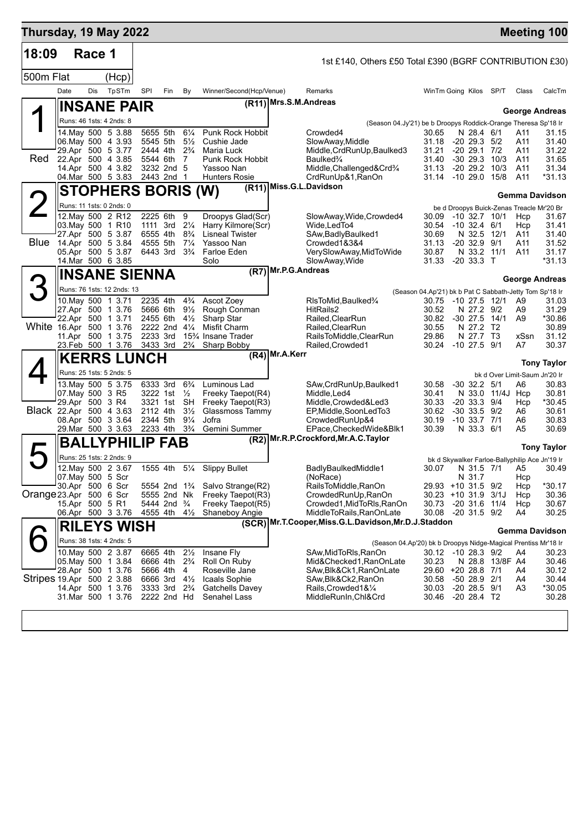| Thursday, 19 May 2022     |      |        |                                               |                      |                                                       |                                  |                                                              |                                   |                                                                                  |                                                         |                                         |            |                 |            | <b>Meeting 100</b>                                                          |
|---------------------------|------|--------|-----------------------------------------------|----------------------|-------------------------------------------------------|----------------------------------|--------------------------------------------------------------|-----------------------------------|----------------------------------------------------------------------------------|---------------------------------------------------------|-----------------------------------------|------------|-----------------|------------|-----------------------------------------------------------------------------|
| 18:09                     |      | Race 1 |                                               |                      |                                                       |                                  |                                                              |                                   | 1st £140, Others £50 Total £390 (BGRF CONTRIBUTION £30)                          |                                                         |                                         |            |                 |            |                                                                             |
| 500m Flat                 |      |        | (Hcp)                                         |                      |                                                       |                                  |                                                              |                                   |                                                                                  |                                                         |                                         |            |                 |            |                                                                             |
|                           | Date | Dis    | TpSTm                                         | SPI                  | Fin                                                   | By                               | Winner/Second(Hcp/Venue)                                     |                                   | Remarks                                                                          |                                                         | WinTm Going Kilos                       |            | SP/T            | Class      | CalcTm                                                                      |
|                           |      |        | <b>INSANE PAIR</b>                            |                      |                                                       |                                  |                                                              | (R11) Mrs.S.M.Andreas             |                                                                                  |                                                         |                                         |            |                 |            |                                                                             |
|                           |      |        | Runs: 46 1sts: 4 2nds: 8                      |                      |                                                       |                                  |                                                              |                                   |                                                                                  |                                                         |                                         |            |                 |            | <b>George Andreas</b>                                                       |
|                           |      |        | 14 May 500 5 3.88                             | 5655 5th             |                                                       | $6\frac{1}{4}$                   | Punk Rock Hobbit                                             |                                   | (Season 04.Jy'21) be b Droopys Roddick-Orange Theresa Sp'18 Ir<br>Crowded4       | 30.65                                                   |                                         | N 28.4 6/1 |                 | A11        | 31.15                                                                       |
|                           |      |        | 06. May 500 4 3.93                            | 5545 5th             |                                                       | $5\frac{1}{2}$<br>$2\frac{3}{4}$ | Cushie Jade                                                  |                                   | SlowAway, Middle                                                                 | 31.18                                                   | $-20$ 29.3 $5/2$<br>$-20$ 29.1 $7/2$    |            |                 | A11        | 31.40                                                                       |
| Red.                      |      |        | 29.Apr 500 5 3.77<br>22.Apr 500 4 3.85        | 2444 4th<br>5544 6th |                                                       | 7                                | Maria Luck<br>Punk Rock Hobbit                               |                                   | Middle, CrdRunUp, Baulked3<br>Baulked <sup>3</sup> /4                            | 31.21<br>31.40                                          |                                         |            | $-30$ 29.3 10/3 | A11<br>A11 | 31.22<br>31.65                                                              |
|                           |      |        | 14.Apr 500 4 3.82                             |                      | 3232 2nd 5                                            |                                  | Yassoo Nan                                                   |                                   | Middle, Challenged&Crd <sup>3</sup> /4                                           | 31.13                                                   | $-2029.2$<br>$-10$ 29.0 $15/8$          |            | 10/3            | A11<br>A11 | 31.34                                                                       |
|                           |      |        | 04 Mar 500 5 3.83                             |                      | 2443 2nd 1                                            |                                  | <b>Hunters Rosie</b>                                         |                                   | CrdRunUp&1, RanOn<br>(R11) Miss.G.L.Davidson                                     | 31.14                                                   |                                         |            |                 |            | *31.13                                                                      |
|                           |      |        | <b>STOPHERS BORIS (W)</b>                     |                      |                                                       |                                  |                                                              |                                   |                                                                                  |                                                         |                                         |            |                 |            | Gemma Davidson                                                              |
| $\angle$                  |      |        | Runs: 11 1sts: 0 2nds: 0<br>12. May 500 2 R12 | 2225 6th             |                                                       | 9                                | Droopys Glad(Scr)                                            |                                   | SlowAway,Wide,Crowded4                                                           | 30.09                                                   | $-10$ 32.7 $10/1$                       |            |                 | Hcp        | be d Droopys Buick-Zenas Treacle Mr'20 Br<br>31.67                          |
|                           |      |        | 03. May 500 1 R10                             | 1111 3rd             |                                                       | $2\frac{1}{4}$                   | Harry Kilmore(Scr)                                           |                                   | Wide, Led To4                                                                    | 30.54                                                   | $-10, 32.4$                             |            | 6/1             | Hcp        | 31.41                                                                       |
| <b>Blue</b>               |      |        | 27.Apr 500 5 3.87<br>14.Apr 500 5 3.84        | 6555 4th<br>4555 5th |                                                       | $8\frac{3}{4}$<br>$7\frac{1}{4}$ | <b>Lisneal Twister</b><br>Yassoo Nan                         |                                   | SAw,BadlyBaulked1<br>Crowded1&3&4                                                | 30.69<br>31.13                                          | N 32.5<br>$-20$ 32.9 $9/1$              |            | 12/1            | A11<br>A11 | 31.40<br>31.52                                                              |
|                           |      |        | 05.Apr 500 5 3.87                             | 6443 3rd             |                                                       | $3\frac{3}{4}$                   | Farloe Eden                                                  |                                   | VerySlowAway, MidToWide                                                          | 30.87                                                   |                                         |            | N 33.2 11/1     | A11        | 31.17                                                                       |
|                           |      |        | 14. Mar 500 6 3.85                            |                      |                                                       |                                  | Solo                                                         | $(R\overline{7})$ Mr.P.G. Andreas | SlowAway, Wide                                                                   | 31.33                                                   | $-20$ 33.3 T                            |            |                 |            | $*31.13$                                                                    |
|                           |      |        | <b>INSANE SIENNA</b>                          |                      |                                                       |                                  |                                                              |                                   |                                                                                  |                                                         |                                         |            |                 |            | <b>George Andreas</b>                                                       |
| 3                         |      |        | Runs: 76 1sts: 12 2nds: 13                    |                      |                                                       |                                  |                                                              |                                   |                                                                                  | (Season 04.Ap'21) bk b Pat C Sabbath-Jetty Tom Sp'18 Ir |                                         |            |                 |            |                                                                             |
|                           |      |        | 10. May 500 1 3.71<br>27.Apr 500 1 3.76       | 2235 4th<br>5666 6th |                                                       | $4\frac{3}{4}$<br>$9\frac{1}{2}$ | Ascot Zoey<br>Rough Conman                                   |                                   | RIsToMid, Baulked3/4<br>HitRails2                                                | 30.75<br>30.52                                          | -10 27.5<br>N 27.2                      |            | 12/1<br>9/2     | A9<br>A9   | 31.03<br>31.29                                                              |
|                           |      |        | 22.Apr 500 1 3.71                             | 2455 6th             |                                                       | $4\frac{1}{2}$                   | Sharp Star                                                   |                                   | Railed, Clear Run                                                                | 30.82                                                   | $-30$ 27.5                              |            | 14/1            | A9         | *30.86                                                                      |
| White 16.Apr 500 1 3.76   |      |        | 11.Apr 500 1 3.75                             | 2222 2nd<br>2233 3rd |                                                       | $4\frac{1}{4}$                   | Misfit Charm<br>15 <sup>3</sup> / <sub>4</sub> Insane Trader |                                   | Railed, Clear Run<br>RailsToMiddle,ClearRun                                      | 30.55<br>29.86                                          | N 27.2                                  | N 27.7 T3  | T2              | xSsn       | 30.89<br>31.12                                                              |
|                           |      |        | 23.Feb 500 1 3.76                             | 3433 3rd             |                                                       |                                  | 2 <sup>3</sup> / <sub>4</sub> Sharp Bobby                    |                                   | Railed, Crowded 1                                                                | 30.24                                                   | $-10$ 27.5 $9/1$                        |            |                 | A7         | 30.37                                                                       |
|                           |      |        | <b>KERRS LUNCH</b>                            |                      |                                                       |                                  |                                                              | (R4) Mr.A.Kerr                    |                                                                                  |                                                         |                                         |            |                 |            | <b>Tony Taylor</b>                                                          |
|                           |      |        | Runs: 25 1sts: 5 2nds: 5                      |                      |                                                       |                                  |                                                              |                                   |                                                                                  |                                                         |                                         |            |                 |            | bk d Over Limit-Saum Jn'20 Ir                                               |
|                           |      |        | 13. May 500 5 3.75                            | 6333 3rd             |                                                       | $6\frac{3}{4}$                   | Luminous Lad                                                 |                                   | SAw,CrdRunUp,Baulked1                                                            | 30.58                                                   | $-30$ 32.2                              |            | - 5/1           | A6         | 30.83                                                                       |
|                           |      |        | 07. May 500 3 R5<br>29.Apr 500 3 R4           | 3222 1st<br>3321 1st |                                                       | $\frac{1}{2}$<br>SH              | Freeky Taepot(R4)<br>Freeky Taepot(R3)                       |                                   | Middle, Led4<br>Middle, Crowded&Led3                                             | 30.41<br>30.33                                          | N 33.0<br>$-20$ 33.3 $9/4$              |            | 11/4J Hcp       | Hcp        | 30.81<br>*30.45                                                             |
|                           |      |        | Black 22.Apr 500 4 3.63                       | 2112 4th             |                                                       | $3\frac{1}{2}$                   | Glassmoss Tammy                                              |                                   | EP, Middle, SoonLedTo3                                                           | 30.62                                                   | $-30, 33.5$                             |            | 9/2             | A6         | 30.61                                                                       |
|                           |      |        | 08.Apr 500 3 3.64<br>29.Mar 500 3 3.63        | 2344 5th<br>2233 4th |                                                       | $9\frac{1}{4}$<br>$3\frac{3}{4}$ | Jofra<br>Gemini Summer                                       |                                   | CrowdedRunUp&4<br>EPace, Checked Wide& Blk1                                      | 30.19<br>30.39                                          | $-10$ 33.7 $7/1$                        | N 33.3 6/1 |                 | A6<br>A5   | 30.83<br>30.69                                                              |
|                           |      |        | <b>BALLYPHILIP FAB</b>                        |                      |                                                       |                                  |                                                              |                                   | (R2) Mr.R.P.Crockford, Mr.A.C. Taylor                                            |                                                         |                                         |            |                 |            |                                                                             |
| $\blacktriangleright$     |      |        | Runs: 25 1sts: 2 2nds: 9                      |                      |                                                       |                                  |                                                              |                                   |                                                                                  |                                                         |                                         |            |                 |            | <b>Tony Taylor</b>                                                          |
|                           |      |        | 12. May 500 2 3.67                            | 1555 4th             |                                                       | $5\frac{1}{4}$                   | <b>Slippy Bullet</b>                                         |                                   | BadlyBaulkedMiddle1                                                              |                                                         |                                         |            |                 |            | bk d Skywalker Farloe-Ballyphilip Ace Jn'19 Ir<br>30.07 N 31.5 7/1 A5 30.49 |
|                           |      |        | 07. May 500 5 Scr                             |                      |                                                       |                                  |                                                              |                                   | (NoRace)                                                                         |                                                         | N 31.7                                  |            |                 | Hcp        |                                                                             |
| Orange 23.Apr 500 6 Scr   |      |        | 30.Apr 500 6 Scr                              |                      | 5554 2nd 1 <sup>3</sup> / <sub>4</sub><br>5555 2nd Nk |                                  | Salvo Strange(R2)<br>Freeky Taepot(R3)                       |                                   | RailsToMiddle,RanOn<br>CrowdedRunUp,RanOn                                        |                                                         | 29.93 +10 31.5 9/2<br>$30.23 + 10.31.9$ |            | 3/1J            | Hcp<br>Hcp | *30.17<br>30.36                                                             |
|                           |      |        | 15.Apr 500 5 R1                               |                      | 5444 2nd <sup>3</sup> / <sub>4</sub>                  |                                  | Freeky Taepot(R5)                                            |                                   | Crowded1, MidToRIs, RanOn                                                        |                                                         | 30.73 -20 31.6 11/4                     |            |                 | Hcp        | 30.67                                                                       |
|                           |      |        | 06.Apr 500 3 3.76                             | 4555 4th             |                                                       | $4\frac{1}{2}$                   | Shaneboy Angie                                               |                                   | MiddleToRails, RanOnLate<br>(SCR) Mr.T.Cooper, Miss.G.L.Davidson, Mr.D.J.Staddon |                                                         | 30.08 -20 31.5 9/2                      |            |                 | A4         | 30.25                                                                       |
|                           |      |        | <b>RILEYS WISH</b>                            |                      |                                                       |                                  |                                                              |                                   |                                                                                  |                                                         |                                         |            |                 |            | Gemma Davidson                                                              |
|                           |      |        | Runs: 38 1sts: 4 2nds: 5                      |                      |                                                       |                                  |                                                              |                                   | (Season 04.Ap'20) bk b Droopys Nidge-Magical Prentiss Mr'18 Ir                   |                                                         |                                         |            |                 |            |                                                                             |
|                           |      |        | 10. May 500 2 3.87<br>05. May 500 1 3.84      | 6665 4th<br>6666 4th |                                                       | $2\frac{1}{2}$<br>$2\frac{3}{4}$ | Insane Fly<br>Roll On Ruby                                   |                                   | SAw,MidToRls,RanOn<br>Mid&Checked1,RanOnLate                                     | 30.23                                                   | 30.12 -10 28.3 9/2                      |            | N 28.8 13/8F A4 | A4         | 30.23<br>30.46                                                              |
|                           |      |        | 28.Apr 500 1 3.76                             | 5666 4th             |                                                       | 4                                | Roseville Jane                                               |                                   | SAw,Blk&Ck1,RanOnLate                                                            |                                                         | 29.60 +20 28.8 7/1                      |            |                 | A4         | 30.12                                                                       |
| Stripes 19.Apr 500 2 3.88 |      |        | 14.Apr 500 1 3.76                             | 6666 3rd<br>3333 3rd |                                                       | $4\frac{1}{2}$<br>$2\frac{3}{4}$ | Icaals Sophie<br>Gatchells Davey                             |                                   | SAw, Blk& Ck2, RanOn<br>Rails, Crowded 1& 1/4                                    | 30.58<br>30.03                                          | -50 28.9 2/1<br>$-20$ 28.5 $9/1$        |            |                 | A4<br>A3   | 30.44<br>*30.05                                                             |
|                           |      |        | 31.Mar 500 1 3.76                             |                      | 2222 2nd Hd                                           |                                  | Senahel Lass                                                 |                                   | MiddleRunIn,Chl&Crd                                                              | 30.46                                                   | $-20$ 28.4 T2                           |            |                 |            | 30.28                                                                       |
|                           |      |        |                                               |                      |                                                       |                                  |                                                              |                                   |                                                                                  |                                                         |                                         |            |                 |            |                                                                             |
|                           |      |        |                                               |                      |                                                       |                                  |                                                              |                                   |                                                                                  |                                                         |                                         |            |                 |            |                                                                             |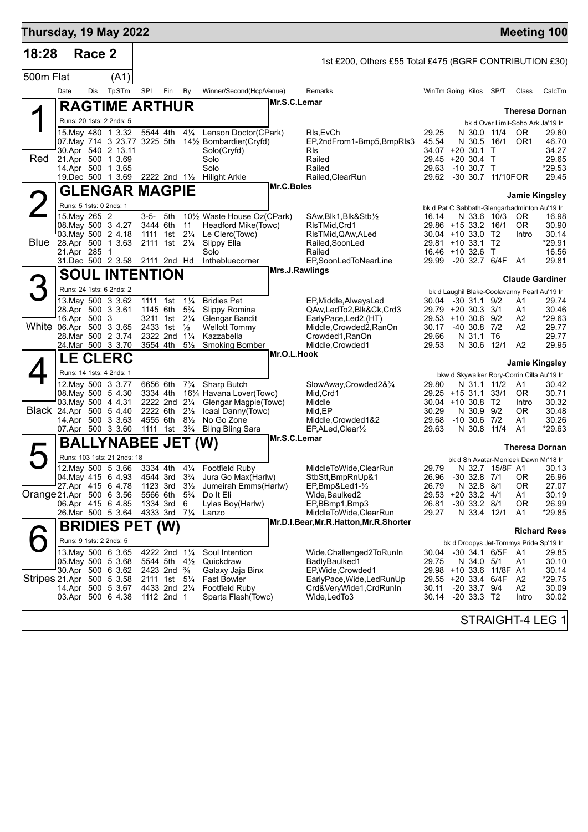| Thursday, 19 May 2022     |                                                          |        |                                                                |     |                                                                            |                                                                     |                                                                                                              |              |                                                                                                 |                                  |                                                                                             |      |                                           | <b>Meeting 100</b>                        |
|---------------------------|----------------------------------------------------------|--------|----------------------------------------------------------------|-----|----------------------------------------------------------------------------|---------------------------------------------------------------------|--------------------------------------------------------------------------------------------------------------|--------------|-------------------------------------------------------------------------------------------------|----------------------------------|---------------------------------------------------------------------------------------------|------|-------------------------------------------|-------------------------------------------|
| 18:28                     |                                                          | Race 2 |                                                                |     |                                                                            |                                                                     |                                                                                                              |              | 1st £200, Others £55 Total £475 (BGRF CONTRIBUTION £30)                                         |                                  |                                                                                             |      |                                           |                                           |
| 500m Flat                 |                                                          |        | (A1)                                                           |     |                                                                            |                                                                     |                                                                                                              |              |                                                                                                 |                                  |                                                                                             |      |                                           |                                           |
|                           | Date                                                     | Dis    | TpSTm                                                          | SPI | Fin                                                                        | By                                                                  | Winner/Second(Hcp/Venue)                                                                                     |              | Remarks                                                                                         |                                  | WinTm Going Kilos SP/T                                                                      |      | Class                                     | CalcTm                                    |
|                           |                                                          |        | <b>RAGTIME ARTHUR</b>                                          |     |                                                                            |                                                                     |                                                                                                              | Mr.S.C.Lemar |                                                                                                 |                                  |                                                                                             |      |                                           | <b>Theresa Dornan</b>                     |
|                           |                                                          |        | Runs: 20 1sts: 2 2nds: 5                                       |     |                                                                            |                                                                     |                                                                                                              |              |                                                                                                 |                                  |                                                                                             |      | bk d Over Limit-Soho Ark Ja'19 Ir         |                                           |
|                           | 07. May 714 3 23.77 3225 5th                             |        | 15.Mav 480 1 3.32<br>30.Apr 540 2 13.11                        |     | 5544 4th                                                                   | $4\frac{1}{4}$                                                      | Lenson Doctor(CPark)<br>141/ <sub>2</sub> Bombardier(Cryfd)<br>Solo(Cryfd)                                   |              | RIs, EvCh<br>EP,2ndFrom1-Bmp5,BmpRls3<br>RIs                                                    | 29.25<br>45.54                   | N 30.0 11/4<br>N 30.5 16/1<br>34.07 +20 30.1 T                                              |      | <b>OR</b><br>OR <sub>1</sub>              | 29.60<br>46.70<br>34.27                   |
| Red                       | 21.Apr 500 1 3.69                                        |        | 14.Apr 500 1 3.65<br>19.Dec 500 1 3.69 2222 2nd 11/2           |     |                                                                            |                                                                     | Solo<br>Solo<br><b>Hilight Arkle</b>                                                                         |              | Railed<br>Railed<br>Railed, ClearRun                                                            | 29.63                            | 29.45 +20 30.4 T<br>$-10,30.7$ T<br>29.62 -30 30.7 11/10FOR                                 |      |                                           | 29.65<br>*29.53<br>29.45                  |
|                           |                                                          |        | <b>GLENGAR MAGPIE</b>                                          |     |                                                                            |                                                                     |                                                                                                              | Mr.C.Boles   |                                                                                                 |                                  |                                                                                             |      |                                           | <b>Jamie Kingsley</b>                     |
|                           | Runs: 5 1sts: 0 2nds: 1                                  |        |                                                                |     |                                                                            |                                                                     |                                                                                                              |              |                                                                                                 |                                  | bk d Pat C Sabbath-Glengarbadminton Au'19 Ir                                                |      |                                           |                                           |
| <b>Blue</b>               | 15. May 265 2<br>08. May 500 3 4.27<br>28.Apr 500 1 3.63 |        | 03. May 500 2 4.18                                             |     | 3-5- 5th<br>3444 6th<br>1111 1st<br>2111 1st 21/4                          | 11<br>$2\frac{1}{4}$                                                | 10 <sup>1</sup> / <sub>2</sub> Waste House Oz(CPark)<br>Headford Mike(Towc)<br>Le Clerc(Towc)<br>Slippy Ella |              | SAw,Blk1,Blk&Stb½<br>RIsTMid, Crd1<br>RIsTMid, QAw, ALed<br>Railed, SoonLed                     | 16.14                            | N 33.6 10/3<br>29.86 +15 33.2 16/1<br>30.04 +10 33.0 T2<br>29.81 +10 33.1 T2                |      | OR.<br>OR.<br>Intro                       | 16.98<br>30.90<br>30.14<br>*29.91         |
|                           | 21.Apr 285 1                                             |        | 31.Dec 500 2 3.58 2111 2nd Hd                                  |     |                                                                            |                                                                     | Solo<br>Inthebluecorner                                                                                      |              | Railed<br>EP,SoonLedToNearLine                                                                  |                                  | 16.46 +10 32.6 T<br>29.99 -20 32.7 6/4F A1                                                  |      |                                           | 16.56<br>29.81                            |
|                           |                                                          |        | <b>SOUL INTENTION</b>                                          |     |                                                                            |                                                                     |                                                                                                              |              | Mrs.J.Rawlings                                                                                  |                                  |                                                                                             |      |                                           | <b>Claude Gardiner</b>                    |
| 3                         |                                                          |        | Runs: 24 1sts: 6 2nds: 2                                       |     |                                                                            |                                                                     |                                                                                                              |              |                                                                                                 |                                  | bk d Laughil Blake-Coolavanny Pearl Au'19 Ir                                                |      |                                           |                                           |
|                           | 28.Apr 500 3 3.61                                        |        | 13. May 500 3 3.62                                             |     | 1111 1st<br>1145 6th                                                       | $1\frac{1}{4}$<br>$5\frac{3}{4}$                                    | <b>Bridies Pet</b><br>Slippy Romina                                                                          |              | EP, Middle, Always Led<br>QAw,LedTo2,Blk&Ck,Crd3                                                | 30.04                            | $-30$ 31.1 $9/2$<br>29.79 +20 30.3 3/1                                                      |      | A1<br>A1                                  | 29.74<br>30.46                            |
| White 06.Apr 500 3 3.65   | 16.Apr 500 3                                             |        | 28. Mar 500 2 3.74<br>24. Mar 500 3 3.70                       |     | 3211 1st<br>2433 1st<br>2322 2nd<br>3554 4th                               | $2\frac{1}{4}$<br>$\frac{1}{2}$<br>$1\frac{1}{4}$<br>$5\frac{1}{2}$ | Glengar Bandit<br><b>Wellott Tommy</b><br>Kazzabella<br><b>Smoking Bomber</b>                                |              | EarlyPace,Led2,(HT)<br>Middle, Crowded2, RanOn<br>Crowded1, RanOn<br>Middle, Crowded1           | 30.17<br>29.66<br>29.53          | 29.53 +10 30.6 9/2<br>-40 30.8 7/2<br>N 31.1 T6<br>N 30.6 12/1                              |      | A2<br>A2<br>A <sub>2</sub>                | *29.63<br>29.77<br>29.77<br>29.95         |
|                           |                                                          |        | <b>LE CLERC</b>                                                |     |                                                                            |                                                                     |                                                                                                              | Mr.O.L.Hook  |                                                                                                 |                                  |                                                                                             |      |                                           |                                           |
|                           |                                                          |        | Runs: 14 1sts: 4 2nds: 1                                       |     |                                                                            |                                                                     |                                                                                                              |              |                                                                                                 |                                  | bkw d Skywalker Rory-Corrin Cilla Au'19 Ir                                                  |      |                                           | <b>Jamie Kingsley</b>                     |
|                           |                                                          |        | 12. May 500 3 3.77<br>08. May 500 5 4.30<br>03. May 500 4 4.31 |     | 6656 6th<br>3334 4th<br>2222 2nd 21/4                                      | $7\frac{3}{4}$                                                      | Sharp Butch<br>161⁄4 Havana Lover(Towc)<br>Glengar Magpie(Towc)                                              |              | SlowAway,Crowded2&3/4<br>Mid, Crd1<br>Middle                                                    | 29.80                            | N 31.1 11/2<br>29.25 +15 31.1<br>$30.04$ +10 30.8 T2                                        | 33/1 | A1<br>OR.<br>Intro                        | 30.42<br>30.71<br>30.32                   |
| Black 24.Apr 500 5 4.40   |                                                          |        | 14.Apr 500 3 3.63<br>07.Apr 500 3 3.60                         |     | 2222 6th<br>4555 6th<br>1111 1st 3 <sup>3</sup> / <sub>4</sub>             | $2\frac{1}{2}$<br>$8\frac{1}{2}$                                    | Icaal Danny (Towc)<br>No Go Zone<br><b>Bling Bling Sara</b>                                                  |              | Mid,EP<br>Middle, Crowded 1&2<br>EP, ALed, Clear <sup>1/2</sup>                                 | 30.29<br>29.68<br>29.63          | N 30.9 9/2<br>$-10,30.6,7/2$<br>N 30.8                                                      | 11/4 | 0R<br>A1<br>A <sub>1</sub>                | 30.48<br>30.26<br>*29.63                  |
| $\blacktriangleright$     |                                                          |        | <b>BALLYNABEE JET (W)</b>                                      |     |                                                                            |                                                                     |                                                                                                              | Mr.S.C.Lemar |                                                                                                 |                                  |                                                                                             |      |                                           | <b>Theresa Dornan</b>                     |
|                           |                                                          |        | Runs: 103 1sts: 21 2nds: 18                                    |     |                                                                            |                                                                     |                                                                                                              |              |                                                                                                 |                                  | bk d Sh Avatar-Monleek Dawn Mr'18 Ir                                                        |      |                                           |                                           |
| Orange 21.Apr 500 6 3.56  | 04 May 415 6 4.93                                        |        | 12.May 500 5 3.66<br>27.Apr 415 6 4.78<br>06.Apr 415 6 4.85    |     | 4544 3rd 3 <sup>3</sup> / <sub>4</sub><br>1123 3rd<br>5566 6th<br>1334 3rd | $3\frac{1}{2}$<br>$5\frac{3}{4}$<br>6                               | 3334 4th 41/4 Footfield Ruby<br>Jura Go Max(Harlw)<br>Jumeirah Emms(Harlw)<br>Do It Eli<br>Lylas Boy(Harlw)  |              | MiddleToWide,ClearRun<br>StbStt, BmpRnUp&1<br>EP,Bmp&Led1-1/2<br>Wide,Baulked2<br>EP,BBmp1,Bmp3 | 29.79<br>26.96<br>26.79<br>26.81 | N 32.7 15/8F A1<br>$-30$ 32.8 $7/1$<br>N 32.8 8/1<br>29.53 +20 33.2 4/1<br>$-30$ 33.2 $8/1$ |      | 0R<br>0R<br>A1<br>0R                      | 30.13<br>26.96<br>27.07<br>30.19<br>26.99 |
|                           |                                                          |        | 26.Mar 500 5 3.64                                              |     | 4333 3rd                                                                   | $7\frac{1}{4}$                                                      | Lanzo                                                                                                        |              | MiddleToWide,ClearRun                                                                           | 29.27                            | N 33.4 12/1                                                                                 |      | A1                                        | *29.85                                    |
|                           |                                                          |        | <b>BRIDIES PET (W)</b>                                         |     |                                                                            |                                                                     |                                                                                                              |              | Mr.D.I.Bear, Mr.R.Hatton, Mr.R.Shorter                                                          |                                  |                                                                                             |      |                                           | <b>Richard Rees</b>                       |
|                           |                                                          |        | Runs: 9 1sts: 2 2nds: 5                                        |     |                                                                            |                                                                     |                                                                                                              |              |                                                                                                 |                                  | bk d Droopys Jet-Tommys Pride Sp'19 Ir                                                      |      |                                           |                                           |
|                           | 05. May 500 5 3.68                                       |        | 13. May 500 6 3.65<br>30.Apr 500 6 3.62                        |     | 4222 2nd 11/4<br>5544 5th<br>2423 2nd <sup>3</sup> / <sub>4</sub>          | $4\frac{1}{2}$                                                      | Soul Intention<br>Quickdraw<br>Galaxy Jaja Binx                                                              |              | Wide, Challenged 2 To RunIn<br>BadlyBaulked1<br>EP,Wide,Crowded1                                | 30.04<br>29.75                   | -30 34.1 6/5F<br>N 34.0 5/1<br>29.98 +10 33.6 11/8F A1                                      |      | A1<br>A1                                  | 29.85<br>30.10<br>30.14                   |
| Stripes 21.Apr 500 5 3.58 |                                                          |        | 14.Apr 500 5 3.67<br>03.Apr 500 6 4.38                         |     | 2111 1st 51/4<br>4433 2nd 21/4<br>1112 2nd 1                               |                                                                     | <b>Fast Bowler</b><br><b>Footfield Ruby</b><br>Sparta Flash(Towc)                                            |              | EarlyPace, Wide, Led Run Up<br>Crd&VeryWide1,CrdRunIn<br>Wide,LedTo3                            | 30.11<br>30.14                   | 29.55 +20 33.4 6/4F<br>$-20$ 33.7 $9/4$<br>$-20$ 33.3 T <sub>2</sub>                        |      | A <sub>2</sub><br>A <sub>2</sub><br>Intro | *29.75<br>30.09<br>30.02                  |
|                           |                                                          |        |                                                                |     |                                                                            |                                                                     |                                                                                                              |              |                                                                                                 |                                  |                                                                                             |      |                                           | STRAIGHT-4 LEG 1                          |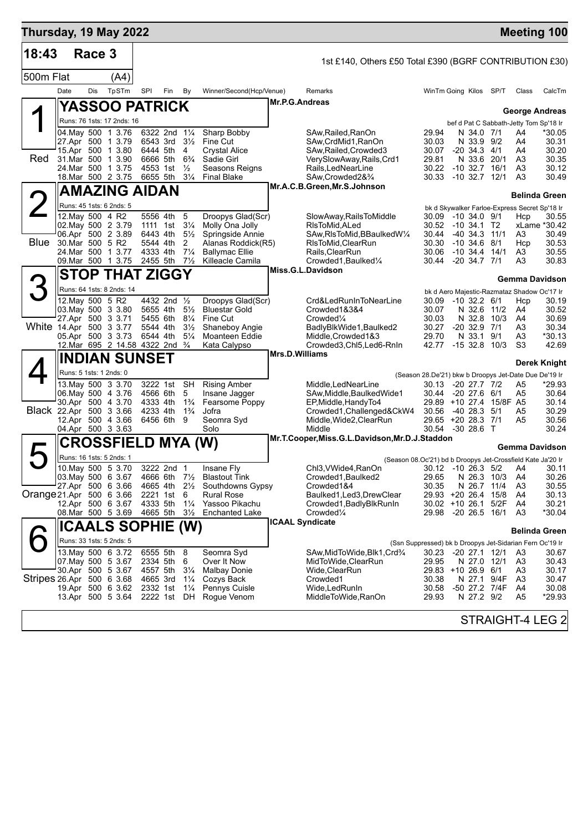| Thursday, 19 May 2022     |                                          |            |                                        |                                             |                         |                                  |                                           |                |                                                                   |                                                       |              |                                  |                   |          | <b>Meeting 100</b>                                              |
|---------------------------|------------------------------------------|------------|----------------------------------------|---------------------------------------------|-------------------------|----------------------------------|-------------------------------------------|----------------|-------------------------------------------------------------------|-------------------------------------------------------|--------------|----------------------------------|-------------------|----------|-----------------------------------------------------------------|
| 18:43                     |                                          | Race 3     |                                        |                                             |                         |                                  |                                           |                | 1st £140, Others £50 Total £390 (BGRF CONTRIBUTION £30)           |                                                       |              |                                  |                   |          |                                                                 |
| 500m Flat                 |                                          |            | (A4)                                   |                                             |                         |                                  |                                           |                |                                                                   |                                                       |              |                                  |                   |          |                                                                 |
|                           | Date                                     | <b>Dis</b> | TpSTm                                  | SPI                                         | Fin                     | By                               | Winner/Second(Hcp/Venue)                  |                | Remarks                                                           | WinTm Going Kilos SP/T                                |              |                                  |                   | Class    | CalcTm                                                          |
|                           |                                          |            |                                        | <b>YASSOO PATRICK</b>                       |                         |                                  |                                           | Mr.P.G.Andreas |                                                                   |                                                       |              |                                  |                   |          |                                                                 |
|                           |                                          |            | Runs: 76 1sts: 17 2nds: 16             |                                             |                         |                                  |                                           |                |                                                                   |                                                       |              |                                  |                   |          | <b>George Andreas</b><br>bef d Pat C Sabbath-Jetty Tom Sp'18 Ir |
|                           | 04. May 500 1 3.76                       |            |                                        |                                             | 6322 2nd 11/4           |                                  | Sharp Bobby                               |                | SAw, Railed, RanOn                                                | 29.94                                                 |              | N 34.0 7/1                       |                   | A4       | *30.05                                                          |
|                           | 27.Apr 500 1 3.79                        |            | 15.Apr 500 1 3.80                      | 6444 5th                                    | 6543 3rd                | $3\frac{1}{2}$<br>4              | Fine Cut<br><b>Crystal Alice</b>          |                | SAw, CrdMid1, RanOn<br>SAw, Railed, Crowded3                      | 30.03<br>30.07                                        |              | N 33.9 9/2<br>$-20, 34.3, 4/1$   |                   | A4<br>A4 | 30.31<br>30.20                                                  |
| Red                       | 31.Mar 500 1 3.90                        |            |                                        | 6666 5th                                    |                         | $6\frac{3}{4}$                   | Sadie Girl                                |                | VerySlowAway,Rails,Crd1                                           | 29.81                                                 |              | N 33.6 20/1                      |                   | A3       | 30.35                                                           |
|                           | 24. Mar 500 1 3.75<br>18. Mar 500 2 3.75 |            |                                        |                                             | 4553 1st<br>6655 5th    | $\frac{1}{2}$<br>$3\frac{1}{4}$  | Seasons Reigns<br><b>Final Blake</b>      |                | Rails, LedNearLine<br>SAw, Crowded 2& 3/4                         | 30.22<br>30.33                                        |              | $-10.32.7$<br>$-10$ 32.7 $12/1$  | 16/1              | A3<br>A3 | 30.12<br>30.49                                                  |
|                           |                                          |            |                                        | <b>AMAZING AIDAN</b>                        |                         |                                  |                                           |                | Mr.A.C.B.Green, Mr.S.Johnson                                      |                                                       |              |                                  |                   |          |                                                                 |
|                           |                                          |            | Runs: 45 1sts: 6 2nds: 5               |                                             |                         |                                  |                                           |                |                                                                   |                                                       |              |                                  |                   |          | <b>Belinda Green</b>                                            |
|                           | 12. May 500 4 R2                         |            |                                        |                                             | 5556 4th                | 5                                | Droopys Glad(Scr)                         |                | SlowAway, RailsToMiddle                                           | 30.09 -10 34.0 9/1                                    |              |                                  |                   | Hcp      | bk d Skywalker Farloe-Express Secret Sp'18 Ir<br>30.55          |
|                           | 02. May 500 2 3.79<br>06.Apr 500 2 3.89  |            |                                        |                                             | 1111 1st<br>6443 4th    | $3\frac{1}{4}$<br>$5\frac{1}{2}$ | Molly Ona Jolly<br>Springside Annie       |                | RIsToMid.ALed<br>SAw, RIsToMid, BBaulked W1/4                     | 30.52<br>30.44                                        |              | $-10,34.1$ T2<br>$-40$ 34.3 11/1 |                   | A3       | xLame *30.42<br>30.49                                           |
| Blue                      | 30.Mar 500 5 R2                          |            |                                        |                                             | 5544 4th                | 2                                | Alanas Roddick(R5)                        |                | RIsToMid, ClearRun                                                | 30.30                                                 |              | $-10, 34.6, 8/1$                 |                   | Hcp      | 30.53                                                           |
|                           | 09. Mar 500 1 3.75                       |            | 24.Mar 500 1 3.77                      |                                             | 4333 4th<br>2455 5th    | $7\frac{1}{4}$<br>$7\frac{1}{2}$ | <b>Ballymac Ellie</b><br>Killeacle Camila |                | Rails, ClearRun<br>Crowded1, Baulked1/4                           | 30.06<br>30.44                                        | -20 34.7 7/1 | $-10, 34.4, 14/1$                |                   | A3<br>A3 | 30.55<br>30.83                                                  |
|                           |                                          |            |                                        | <b>STOP THAT ZIGGY</b>                      |                         |                                  |                                           |                | Miss.G.L.Davidson                                                 |                                                       |              |                                  |                   |          |                                                                 |
| 3                         |                                          |            | Runs: 64 1sts: 8 2nds: 14              |                                             |                         |                                  |                                           |                |                                                                   |                                                       |              |                                  |                   |          | <b>Gemma Davidson</b>                                           |
|                           | 12. May 500 5 R2                         |            |                                        |                                             | 4432 2nd 1/2            |                                  | Droopys Glad(Scr)                         |                | Crd&LedRunInToNearLine                                            | 30.09                                                 |              | $-10$ 32.2 $6/1$                 |                   | Hcp      | bk d Aero Majestic-Razmataz Shadow Oc'17 Ir<br>30.19            |
|                           | 03. May 500 3 3.80<br>27.Apr 500 3 3.71  |            |                                        |                                             | 5655 4th<br>5455 6th    | $5\frac{1}{2}$<br>$8\frac{1}{4}$ | <b>Bluestar Gold</b><br>Fine Cut          |                | Crowded1&3&4<br>Crowded <sup>1/4</sup>                            | 30.07<br>30.03                                        |              | N 32.6 11/2                      | N 32.8 10/3       | A4<br>A4 | 30.52<br>30.69                                                  |
| White 14.Apr 500 3 3.77   |                                          |            |                                        |                                             | 5544 4th                | $3\frac{1}{2}$                   | Shaneboy Angie                            |                | BadlyBlkWide1, Baulked2                                           | 30.27                                                 |              | $-20$ 32.9 $7/1$                 |                   | A3       | 30.34                                                           |
|                           |                                          |            | 05.Apr 500 3 3.73                      | 6544 4th<br>12.Mar 695 2 14.58 4322 2nd 3/4 |                         | $5\frac{1}{4}$                   | Moanteen Eddie<br>Kata Calypso            |                | Middle, Crowded 1&3<br>Crowded3, Chl5, Led6-RnIn                  | 29.70<br>42.77                                        |              | N 33.1 9/1                       | $-1532.810/3$     | A3<br>S3 | *30.13<br>42.69                                                 |
|                           |                                          |            |                                        | <b>INDIAN SUNSET</b>                        |                         |                                  |                                           | Mrs.D.Williams |                                                                   |                                                       |              |                                  |                   |          |                                                                 |
|                           | Runs: 5 1sts: 1 2nds: 0                  |            |                                        |                                             |                         |                                  |                                           |                |                                                                   | (Season 28.De'21) bkw b Droopys Jet-Date Due De'19 Ir |              |                                  |                   |          | <b>Derek Knight</b>                                             |
|                           |                                          |            | 13. May 500 3 3.70                     |                                             | 3222 1st                | SH                               | Rising Amber                              |                | Middle, LedNearLine                                               | 30.13                                                 |              | $-20$ 27.7 $7/2$                 |                   | A5       | *29.93                                                          |
|                           | 30.Apr 500 4 3.70                        |            | 06. May 500 4 3.76                     |                                             | 4566 6th<br>4333 4th    | 5<br>$1\frac{3}{4}$              | Insane Jagger<br>Fearsome Poppy           |                | SAw, Middle, Baulked Wide1<br>EP, Middle, Handy To4               | 30.44<br>29.89                                        |              | $-20$ 27.6 6/1                   | +10 27.4 15/8F A5 | A5       | 30.64<br>30.14                                                  |
| Black 22.Apr 500 3 3.66   |                                          |            |                                        |                                             | 4233 4th                | $1\frac{3}{4}$                   | Jofra                                     |                | Crowded1, Challenged&CkW4                                         | 30.56                                                 |              | -40 28.3                         | 5/1               | A5       | 30.29                                                           |
|                           | 12.Apr 500 4 3.66<br>04.Apr 500 3 3.63   |            |                                        |                                             | 6456 6th 9              |                                  | Seomra Syd<br>Solo                        |                | Middle, Wide2, ClearRun<br>Middle                                 | 29.65 +20 28.3 7/1<br>30.54 -30 28.6 T                |              |                                  |                   | A5       | 30.56<br>30.24                                                  |
|                           |                                          |            |                                        | <b>CROSSFIELD MYA (W)</b>                   |                         |                                  |                                           |                | Mr.T.Cooper, Miss.G.L.Davidson, Mr.D.J.Staddon                    |                                                       |              |                                  |                   |          |                                                                 |
|                           |                                          |            | Runs: 16 1sts: 5 2nds: 1               |                                             |                         |                                  |                                           |                | (Season 08.Oc'21) bd b Droopys Jet-Crossfield Kate Ja'20 Ir       |                                                       |              |                                  |                   |          | <b>Gemma Davidson</b>                                           |
|                           |                                          |            | 10. May 500 5 3.70                     |                                             | 3222 2nd 1              |                                  | Insane Fly                                |                | Chl3, VWide4, RanOn                                               |                                                       |              |                                  |                   |          | 30.12 -10 26.3 5/2 A4 30.11                                     |
|                           | 03. May 500 6 3.67<br>27.Apr 500 6 3.66  |            |                                        |                                             | 4666 6th 7½<br>4665 4th | $2\frac{1}{2}$                   | Blastout Tink<br>Southdowns Gypsy         |                | Crowded1, Baulked2<br>Crowded1&4                                  | 29.65<br>30.35                                        |              | N 26.3 10/3<br>N 26.7            | 11/4              | A4<br>A3 | 30.26<br>30.55                                                  |
| Orange 21.Apr 500 6 3.66  |                                          |            |                                        |                                             | 2221 1st                | 6                                | <b>Rural Rose</b>                         |                | Baulked1,Led3,DrewClear                                           | 29.93 +20 26.4 15/8                                   |              |                                  |                   | A4       | 30.13                                                           |
|                           | 12.Apr 500 6 3.67<br>08.Mar 500 5 3.69   |            |                                        | 4333 5th<br>4665 5th                        |                         | $1\frac{1}{4}$<br>$3\frac{1}{2}$ | Yassoo Pikachu<br><b>Enchanted Lake</b>   |                | Crowded1, Badly Blk Run In<br>Crowded <sup>1</sup> / <sub>4</sub> | 30.02 +10 26.1 5/2F<br>29.98                          |              |                                  | $-20$ 26.5 16/1   | A4<br>A3 | 30.21<br>*30.04                                                 |
|                           |                                          |            |                                        | <b>ICAALS SOPHIE (W)</b>                    |                         |                                  |                                           |                | <b>ICAAL Syndicate</b>                                            |                                                       |              |                                  |                   |          |                                                                 |
|                           |                                          |            | Runs: 33 1sts: 5 2nds: 5               |                                             |                         |                                  |                                           |                | (Ssn Suppressed) bk b Droopys Jet-Sidarian Fern Oc'19 Ir          |                                                       |              |                                  |                   |          | <b>Belinda Green</b>                                            |
|                           |                                          |            | 13 May 500 6 3.72                      |                                             | 6555 5th 8              |                                  | Seomra Syd                                |                | SAw,MidToWide,Blk1,Crd¾                                           | 30.23                                                 |              | -20 27.1 12/1                    |                   | A3       | 30.67                                                           |
|                           | 07. May 500 5 3.67<br>30.Apr 500 5 3.67  |            |                                        |                                             | 2334 5th<br>4557 5th    | 6<br>$3\frac{1}{4}$              | Over It Now<br><b>Malbay Donie</b>        |                | MidToWide, ClearRun<br>Wide,ClearRun                              | 29.95<br>29.83 +10 26.9 6/1                           |              | N 27.0 12/1                      |                   | A3<br>A3 | 30.43<br>30.17                                                  |
| Stripes 26.Apr 500 6 3.68 |                                          |            |                                        |                                             | 4665 3rd                | $1\frac{1}{4}$                   | Cozys Back                                |                | Crowded1                                                          | 30.38                                                 |              |                                  | N 27.1 9/4F       | A3       | 30.47                                                           |
|                           |                                          |            | 19.Apr 500 6 3.62<br>13.Apr 500 5 3.64 |                                             | 2332 1st<br>2222 1st DH | $1\frac{1}{4}$                   | Pennys Cuisle<br>Rogue Venom              |                | Wide, Led Run In<br>MiddleToWide,RanOn                            | 30.58<br>29.93                                        |              | N 27.2 9/2                       | -50 27.2 7/4F     | A4<br>A5 | 30.08<br>*29.93                                                 |
|                           |                                          |            |                                        |                                             |                         |                                  |                                           |                |                                                                   |                                                       |              |                                  |                   |          |                                                                 |
|                           |                                          |            |                                        |                                             |                         |                                  |                                           |                |                                                                   |                                                       |              |                                  |                   |          | STRAIGHT-4 LEG 2                                                |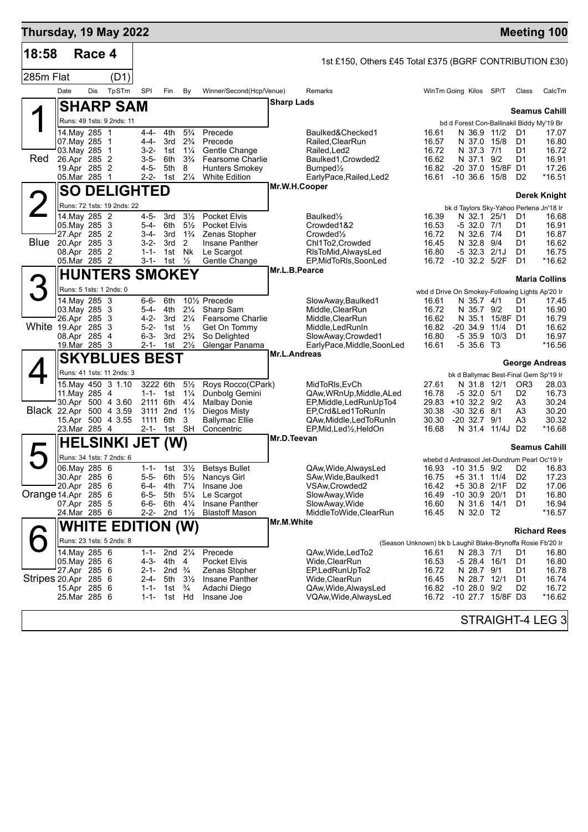| Thursday, 19 May 2022   |                                          |        |                                                |                        |                         |                                      |                                     |               |                                                         |                                                             |                                                                    |                  |                      | <b>Meeting 100</b>    |
|-------------------------|------------------------------------------|--------|------------------------------------------------|------------------------|-------------------------|--------------------------------------|-------------------------------------|---------------|---------------------------------------------------------|-------------------------------------------------------------|--------------------------------------------------------------------|------------------|----------------------|-----------------------|
| 18:58                   |                                          | Race 4 |                                                |                        |                         |                                      |                                     |               | 1st £150, Others £45 Total £375 (BGRF CONTRIBUTION £30) |                                                             |                                                                    |                  |                      |                       |
| 285m Flat               |                                          |        | (D1)                                           |                        |                         |                                      |                                     |               |                                                         |                                                             |                                                                    |                  |                      |                       |
|                         | Date                                     | Dis    | TpSTm                                          | SPI                    | Fin                     | By                                   | Winner/Second(Hcp/Venue)            |               | Remarks                                                 |                                                             | WinTm Going Kilos SP/T                                             |                  | Class                | CalcTm                |
|                         |                                          |        |                                                |                        |                         |                                      |                                     | Sharp Lads    |                                                         |                                                             |                                                                    |                  |                      |                       |
|                         |                                          |        | <b>SHARP SAM</b>                               |                        |                         |                                      |                                     |               |                                                         |                                                             |                                                                    |                  |                      | <b>Seamus Cahill</b>  |
|                         | 14. May 285 1                            |        | Runs: 49 1sts: 9 2nds: 11                      | 4-4-                   | 4th                     | $5\frac{3}{4}$                       | Precede                             |               | Baulked&Checked1                                        | 16.61                                                       | bd d Forest Con-Ballinakil Biddy My'19 Br<br>N 36.9                | 11/2             | D1                   | 17.07                 |
|                         | 07. May 285 1                            |        |                                                | $4 - 4 -$              | 3rd                     | $2\frac{3}{4}$                       | Precede                             |               | Railed, Clear Run                                       | 16.57                                                       | N 37.0                                                             | 15/8             | D1                   | 16.80                 |
| Red                     | 03. May 285 1<br>26.Apr 285 2            |        |                                                | $3-2-$<br>$3 - 5 -$    | 1st<br>6th              | $1\frac{1}{4}$<br>$3\frac{3}{4}$     | Gentle Change<br>Fearsome Charlie   |               | Railed,Led2<br>Baulked1, Crowded2                       | 16.72<br>16.62                                              | N 37.3 7/1<br>N 37.1                                               | 9/2              | D1<br>D1             | 16.72<br>16.91        |
|                         | 19.Apr 285 2                             |        |                                                | $4 - 5 -$              | 5th                     | 8                                    | <b>Hunters Smokey</b>               |               | Bumped1/2                                               | 16.82                                                       | $-20,37.0$                                                         | 15/8F D1         |                      | 17.26                 |
|                         | 05.Mar 285 1                             |        |                                                | $2 - 2 -$              | 1st                     | $2\frac{1}{4}$                       | <b>White Edition</b>                | Mr.W.H.Cooper | EarlyPace, Railed, Led2                                 | 16.61                                                       | $-10,36.6$                                                         | 15/8             | D <sub>2</sub>       | *16.51                |
|                         |                                          |        | <b>SO DELIGHTED</b>                            |                        |                         |                                      |                                     |               |                                                         |                                                             |                                                                    |                  |                      | <b>Derek Knight</b>   |
|                         | 14. May 285 2                            |        | Runs: 72 1sts: 19 2nds: 22                     | 4-5-                   | 3rd                     | $3\frac{1}{2}$                       | Pocket Elvis                        |               | Baulked <sup>1</sup> / <sub>2</sub>                     | 16.39                                                       | bk d Taylors Sky-Yahoo Perlena Jn'18 Ir<br>N 32.1 25/1             |                  | D1                   | 16.68                 |
|                         | 05. May 285 3                            |        |                                                | 5-4-                   | 6th                     | $5\frac{1}{2}$                       | Pocket Elvis                        |               | Crowded1&2                                              | 16.53                                                       | $-532.07/1$                                                        |                  | D1                   | 16.91                 |
| <b>Blue</b>             | 27.Apr 285 2<br>20.Apr 285 3             |        |                                                | 3-4-<br>$3 - 2 -$      | 3rd<br>3rd              | $1\frac{3}{4}$<br>2                  | Zenas Stopher<br>Insane Panther     |               | Crowded <sup>1</sup> / <sub>2</sub><br>Chl1To2, Crowded | 16.72<br>16.45                                              | N 32.6 7/4<br>N 32.8                                               | 9/4              | D1<br>D1             | 16.87<br>16.62        |
|                         | 08.Apr 285 2                             |        |                                                | $1 - 1 -$              | 1st                     | Nk                                   | Le Scargot                          |               | RIsToMid, AlwaysLed                                     | 16.80                                                       | $-5$ 32.3 $2/1J$                                                   |                  | D1                   | 16.75                 |
|                         | 05.Mar 285 2                             |        |                                                | 3-1-                   | 1st $\frac{1}{2}$       |                                      | Gentle Change                       | Mr.L.B.Pearce | EP, MidToRIs, SoonLed                                   | 16.72                                                       | -10 32.2 5/2F                                                      |                  | D <sub>1</sub>       | *16.62                |
|                         |                                          |        | <b>HUNTERS SMOKEY</b>                          |                        |                         |                                      |                                     |               |                                                         |                                                             |                                                                    |                  |                      | <b>Maria Collins</b>  |
|                         | Runs: 5 1sts: 1 2nds: 0<br>14. May 285 3 |        |                                                | 6-6-                   | 6th                     |                                      | 101/ <sub>2</sub> Precede           |               | SlowAway,Baulked1                                       | 16.61                                                       | wbd d Drive On Smokey-Following Lights Ap'20 Ir<br>N 35.7 4/1      |                  | D1                   | 17.45                 |
|                         | 03. May 285 3                            |        |                                                | 5-4-                   | 4th                     | $2\frac{1}{4}$                       | Sharp Sam                           |               | Middle, ClearRun                                        | 16.72                                                       | N 35.7 9/2                                                         |                  | D1                   | 16.90                 |
| White 19.Apr 285 3      | 26.Apr 285 3                             |        |                                                | $4 - 2 -$<br>$5 - 2 -$ | 3rd<br>1st              | $2\frac{1}{4}$<br>$\frac{1}{2}$      | Fearsome Charlie<br>Get On Tommy    |               | Middle, ClearRun<br>Middle,LedRunIn                     | 16.62<br>16.82                                              | N 35.1<br>$-20, 34.9$                                              | 15/8F D1<br>11/4 | D1                   | 16.79<br>16.62        |
|                         | 08.Apr 285 4                             |        |                                                | $6 - 3 -$              | 3rd                     | $2\frac{3}{4}$                       | So Delighted                        |               | SlowAway, Crowded1                                      | 16.80                                                       | $-5$ 35.9                                                          | 10/3             | D1                   | 16.97                 |
|                         | 19.Mar 285 3                             |        |                                                | $2 - 1 -$              | 1st                     | $2\frac{1}{2}$                       | Glengar Panama                      | Mr.L.Andreas  | EarlyPace, Middle, SoonLed                              | 16.61                                                       | $-5356$ T3                                                         |                  |                      | *16.56                |
|                         |                                          |        | <b>SKYBLUES BEST</b>                           |                        |                         |                                      |                                     |               |                                                         |                                                             |                                                                    |                  |                      | <b>George Andreas</b> |
|                         |                                          |        | Runs: 41 1sts: 11 2nds: 3<br>15 May 450 3 1.10 | 3222 6th               |                         | $5\frac{1}{2}$                       | Roys Rocco(CPark)                   |               | MidToRIs, EvCh                                          | 27.61                                                       | bk d Ballymac Best-Final Gem Sp'19 Ir<br>N 31.8                    | 12/1             | OR <sub>3</sub>      | 28.03                 |
|                         | 11. May 285 4                            |        |                                                |                        | 1-1- 1st $1\frac{1}{4}$ |                                      | Dunbolg Gemini                      |               | QAw, WRnUp, Middle, ALed                                | 16.78                                                       | $-5$ 32.0 $5/1$                                                    |                  | D <sub>2</sub>       | 16.73                 |
| Black 22.Apr 500 4 3.59 |                                          |        | 30.Apr 500 4 3.60                              | 2111 6th<br>3111       |                         | $4\frac{1}{4}$<br>2nd $1\frac{1}{2}$ | <b>Malbay Donie</b><br>Diegos Misty |               | EP, Middle, LedRunUpTo4<br>EP,Crd&Led1ToRunIn           | 30.38                                                       | 29.83 +10 32.2 9/2<br>$-30$ 32.6 $8/1$                             |                  | A3<br>A3             | 30.24<br>30.20        |
|                         |                                          |        | 15.Apr 500 4 3.55                              | 1111                   | 6th                     | 3                                    | <b>Ballymac Ellie</b>               |               | QAw,Middle,LedToRunIn                                   | 30.30                                                       | $-20$ 32.7 $9/1$                                                   |                  | A3                   | 30.32                 |
|                         | 23.Mar 285 4                             |        |                                                | $2 - 1 -$              |                         | 1st SH                               | Concentric                          | Mr.D.Teevan   | EP,Mid,Led½,HeldOn                                      | 16.68                                                       | N 31.4 11/4J D2                                                    |                  |                      | *16.68                |
|                         |                                          |        | <b>HELSINKI JET</b>                            |                        | (W)                     |                                      |                                     |               |                                                         |                                                             |                                                                    |                  |                      | <b>Seamus Cahill</b>  |
|                         | 06. May 285 6                            |        | Runs: 34 1sts: 7 2nds: 6                       | $1 - 1 -$              |                         |                                      | 1st 31/2 Betsys Bullet              |               | QAw, Wide, AlwaysLed                                    |                                                             | wbebd d Ardnasool Jet-Dundrum Pearl Oc'19 Ir<br>16.93 -10 31.5 9/2 |                  | D <sub>2</sub>       | 16.83                 |
|                         | 30.Apr 285 6                             |        |                                                | 5-5-                   | 6th                     | $5\frac{1}{2}$                       | Nancys Girl                         |               | SAw, Wide, Baulked1                                     | 16.75                                                       | $+5$ 31.1 11/4                                                     |                  | D <sub>2</sub>       | 17.23                 |
| Orange 14 Apr 285 6     | 20.Apr 285 6                             |        |                                                | 6-4-<br>$6 - 5 -$      | 4th<br>5th              | $7\frac{1}{4}$<br>$5\frac{1}{4}$     | Insane Joe<br>Le Scargot            |               | VSAw, Crowded2<br>SlowAway, Wide                        | 16.42<br>16.49                                              | +5 30.8 2/1F<br>$-10$ 30.9 20/1                                    |                  | D <sub>2</sub><br>D1 | 17.06<br>16.80        |
|                         | 07.Apr 285 5                             |        |                                                | $6 - 6 -$              | 6th                     | $4\frac{1}{4}$                       | Insane Panther                      |               | SlowAway, Wide                                          | 16.60                                                       | N 31.6                                                             | 14/1             | D1                   | 16.94                 |
|                         | 24.Mar 285 6                             |        |                                                | 2-2-                   |                         | 2nd $1\frac{1}{2}$                   | <b>Blastoff Mason</b>               | Mr.M.White    | MiddleToWide,ClearRun                                   | 16.45                                                       | N 32.0 T2                                                          |                  |                      | $*16.57$              |
|                         |                                          |        | <b>WHITE EDITION (W)</b>                       |                        |                         |                                      |                                     |               |                                                         |                                                             |                                                                    |                  |                      | <b>Richard Rees</b>   |
|                         |                                          |        | Runs: 23 1sts: 5 2nds: 8                       |                        |                         |                                      |                                     |               |                                                         | (Season Unknown) bk b Laughil Blake-Brynoffa Rosie Fb'20 Ir |                                                                    |                  |                      |                       |
|                         | 14. May 285 6<br>05. May 285 6           |        |                                                | $1 - 1 -$<br>4-3-      | 4th 4                   | 2nd $2\frac{1}{4}$                   | Precede<br><b>Pocket Elvis</b>      |               | QAw, Wide, Led To 2<br>Wide,ClearRun                    | 16.61<br>16.53                                              | N 28.3 7/1<br>$-5$ 28.4 16/1                                       |                  | D1<br>D1             | 16.80<br>16.80        |
|                         | 27.Apr 285 6                             |        |                                                | 2-1-                   | 2nd $\frac{3}{4}$       |                                      | Zenas Stopher                       |               | EP,LedRunUpTo2                                          | 16.72                                                       | N 28.7 9/1                                                         |                  | D1                   | 16.78                 |
| Stripes 20.Apr 285 6    | 15.Apr 285 6                             |        |                                                | 2-4-<br>$1 - 1 -$      | 5th<br>1st              | $3\frac{1}{2}$<br>$\frac{3}{4}$      | Insane Panther<br>Adachi Diego      |               | Wide,ClearRun<br>QAw, Wide, Always Led                  | 16.45                                                       | N 28.7 12/1<br>16.82 -10 28.0 9/2                                  |                  | D1<br>D2             | 16.74<br>16.72        |
|                         | 25.Mar 285 6                             |        |                                                | $1 - 1 -$              |                         | 1st Hd                               | Insane Joe                          |               | VQAw,Wide,AlwaysLed                                     |                                                             | 16.72 -10 27.7 15/8F D3                                            |                  |                      | *16.62                |
|                         |                                          |        |                                                |                        |                         |                                      |                                     |               |                                                         |                                                             |                                                                    |                  |                      | STRAIGHT-4 LEG 3      |
|                         |                                          |        |                                                |                        |                         |                                      |                                     |               |                                                         |                                                             |                                                                    |                  |                      |                       |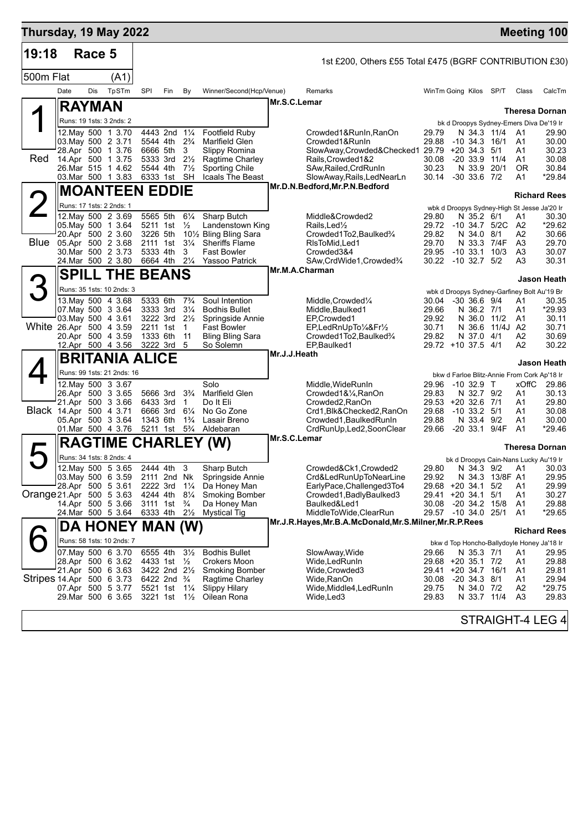| Thursday, 19 May 2022     |                                                                                                                               |        |                            |                                                                      |                                                                                                                    |                                                                                        |                                                                                                                                   |              |                                                                                                                                                                 |                                                                                    |                                                                                     |                               |                                                                                            | <b>Meeting 100</b>                                                |
|---------------------------|-------------------------------------------------------------------------------------------------------------------------------|--------|----------------------------|----------------------------------------------------------------------|--------------------------------------------------------------------------------------------------------------------|----------------------------------------------------------------------------------------|-----------------------------------------------------------------------------------------------------------------------------------|--------------|-----------------------------------------------------------------------------------------------------------------------------------------------------------------|------------------------------------------------------------------------------------|-------------------------------------------------------------------------------------|-------------------------------|--------------------------------------------------------------------------------------------|-------------------------------------------------------------------|
| 19:18                     |                                                                                                                               | Race 5 |                            |                                                                      |                                                                                                                    |                                                                                        |                                                                                                                                   |              | 1st £200, Others £55 Total £475 (BGRF CONTRIBUTION £30)                                                                                                         |                                                                                    |                                                                                     |                               |                                                                                            |                                                                   |
| 500m Flat                 |                                                                                                                               |        | (A1)                       |                                                                      |                                                                                                                    |                                                                                        |                                                                                                                                   |              |                                                                                                                                                                 |                                                                                    |                                                                                     |                               |                                                                                            |                                                                   |
|                           | Date                                                                                                                          | Dis    | TpSTm                      | SPI                                                                  | Fin                                                                                                                | By                                                                                     | Winner/Second(Hcp/Venue)                                                                                                          |              | Remarks                                                                                                                                                         | WinTm Going Kilos SP/T                                                             |                                                                                     |                               | Class                                                                                      | CalcTm                                                            |
|                           | <b>RAYMAN</b>                                                                                                                 |        |                            |                                                                      |                                                                                                                    |                                                                                        |                                                                                                                                   |              | Mr.S.C.Lemar                                                                                                                                                    |                                                                                    |                                                                                     |                               |                                                                                            |                                                                   |
|                           | Runs: 19 1sts: 3 2nds: 2                                                                                                      |        |                            |                                                                      |                                                                                                                    |                                                                                        |                                                                                                                                   |              |                                                                                                                                                                 |                                                                                    |                                                                                     |                               | bk d Droopys Sydney-Emers Diva De'19 Ir                                                    | <b>Theresa Dornan</b>                                             |
| Red                       | 12. May 500 1 3.70<br>03. May 500 2 3.71<br>28.Apr 500 1 3.76<br>14.Apr 500 1 3.75<br>26.Mar 515 1 4.62<br>03. Mar 500 1 3.83 |        |                            | 5544 4th<br>6666 5th<br>5333 3rd<br>5544 4th                         | 4443 2nd 11/4<br>6333 1st SH                                                                                       | $2\frac{3}{4}$<br>3<br>$2\frac{1}{2}$<br>$7\frac{1}{2}$                                | <b>Footfield Ruby</b><br>Marlfield Glen<br>Slippy Romina<br>Ragtime Charley<br><b>Sporting Chile</b><br>Icaals The Beast          |              | Crowded1&RunIn,RanOn<br>Crowded1&RunIn<br>SlowAway,Crowded&Checked1 29.79 +20 34.3<br>Rails, Crowded 1&2<br>SAw, Railed, CrdRunIn<br>SlowAway, Rails, LedNearLn | 29.79<br>29.88<br>30.08<br>30.23<br>30.14                                          | N 34.3 11/4<br>$-10$ 34.3 $16/1$<br>$-20, 33.9, 11/4$<br>N 33.9<br>$-30$ 33.6 $7/2$ | 5/1<br>20/1                   | A1<br>A1<br>A1<br>A1<br>0R<br>A1                                                           | 29.90<br>30.00<br>30.23<br>30.08<br>30.84<br>*29.84               |
|                           |                                                                                                                               |        | <b>MOANTEEN EDDIE</b>      |                                                                      |                                                                                                                    |                                                                                        |                                                                                                                                   |              | Mr.D.N.Bedford, Mr.P.N.Bedford                                                                                                                                  |                                                                                    |                                                                                     |                               |                                                                                            |                                                                   |
| $\angle$                  | Runs: 17 1sts: 2 2nds: 1                                                                                                      |        |                            |                                                                      |                                                                                                                    |                                                                                        |                                                                                                                                   |              |                                                                                                                                                                 |                                                                                    |                                                                                     |                               | wbk d Droopys Sydney-High St Jesse Ja'20 Ir                                                | <b>Richard Rees</b>                                               |
| Blue                      | 12. May 500 2 3.69<br>05. May 500 1 3.64<br>20.Apr 500 2 3.60<br>05.Apr 500 2 3.68<br>30.Mar 500 2 3.73<br>24. Mar 500 2 3.80 |        |                            | 5565 5th<br>5211 1st<br>3226 5th<br>2111 1st<br>5333 4th<br>6664 4th |                                                                                                                    | $6\frac{1}{4}$<br>$\frac{1}{2}$<br>$3\frac{1}{4}$<br>3<br>$2\frac{1}{4}$               | Sharp Butch<br>Landenstown King<br>101/2 Bling Bling Sara<br><b>Sheriffs Flame</b><br><b>Fast Bowler</b><br><b>Yassoo Patrick</b> |              | Middle&Crowded2<br>Rails, Led <sup>1</sup> / <sub>2</sub><br>Crowded1To2, Baulked3/4<br>RIsToMid, Led1<br>Crowded3&4<br>SAw, CrdWide1, Crowded3/4               | 29.80<br>29.72<br>29.82<br>29.70<br>29.95<br>30.22 -10 32.7 5/2                    | N 35.2 6/1<br>N 34.0 8/1<br>N 33.3 7/4F<br>$-10, 33.1$                              | $-10, 34.7, 5/2C$<br>10/3     | A1<br>A2<br>A2<br>A <sub>3</sub><br>A <sub>3</sub><br>A3                                   | 30.30<br>*29.62<br>30.66<br>29.70<br>30.07<br>30.31               |
|                           |                                                                                                                               |        | <b>SPILL THE BEANS</b>     |                                                                      |                                                                                                                    |                                                                                        |                                                                                                                                   |              | Mr.M.A.Charman                                                                                                                                                  |                                                                                    |                                                                                     |                               |                                                                                            |                                                                   |
| 3                         |                                                                                                                               |        | Runs: 35 1sts: 10 2nds: 3  |                                                                      |                                                                                                                    |                                                                                        |                                                                                                                                   |              |                                                                                                                                                                 |                                                                                    |                                                                                     |                               | wbk d Droopys Sydney-Garfiney Bolt Au'19 Br                                                | Jason Heath                                                       |
| White 26.Apr 500 4 3.59   | 13. May 500 4 3.68<br>07 May 500 3 3.64<br>03. May 500 4 3.61<br>20.Apr 500 4 3.59<br>12.Apr 500 4 3.56                       |        |                            | 5333 6th<br>3333 3rd<br>2211 1st<br>1333 6th<br>3222 3rd 5           | $3222$ 3rd $2\frac{1}{2}$                                                                                          | $7\frac{3}{4}$<br>$3\frac{1}{4}$<br>$\mathbf{1}$<br>11                                 | Soul Intention<br><b>Bodhis Bullet</b><br>Springside Annie<br><b>Fast Bowler</b><br><b>Bling Bling Sara</b><br>So Solemn          |              | Middle, Crowded <sup>1/4</sup><br>Middle, Baulked1<br>EP,Crowded1<br>EP,LedRnUpTo1/4&Fr1/2<br>Crowded1To2, Baulked3/4<br>EP, Baulked1                           | 30.04<br>29.66<br>29.92<br>30.71<br>29.82<br>29.72 +10 37.5 4/1                    | $-30, 36.6, 9/4$<br>N 36.2 7/1<br>N 36.0 11/2<br>N 36.6<br>N 37.0 4/1               | 11/4J A2                      | A1<br>A1<br>A1<br>A2<br>A2                                                                 | 30.35<br>*29.93<br>30.11<br>30.71<br>30.69<br>30.22               |
|                           |                                                                                                                               |        | BRITANIA ALICE             |                                                                      |                                                                                                                    |                                                                                        |                                                                                                                                   | Mr.J.J.Heath |                                                                                                                                                                 |                                                                                    |                                                                                     |                               |                                                                                            |                                                                   |
|                           |                                                                                                                               |        | Runs: 99 1sts: 21 2nds: 16 |                                                                      |                                                                                                                    |                                                                                        |                                                                                                                                   |              |                                                                                                                                                                 |                                                                                    |                                                                                     |                               | bkw d Farloe Blitz-Annie From Cork Ap'18 Ir                                                | Jason Heath                                                       |
| Black 14.Apr 500 4 3.71   | 12. May 500 3 3.67<br>26.Apr 500 3 3.65<br>21.Apr 500 3 3.66<br>05.Apr 500 3 3.64<br>01.Mar 500 4 3.76                        |        |                            | 5666 3rd<br>6433 3rd<br>6666 3rd<br>1343 6th<br>5211 1st             |                                                                                                                    | $3\frac{3}{4}$<br>$\overline{1}$<br>$6\frac{1}{4}$<br>$1\frac{3}{4}$<br>$5\frac{3}{4}$ | Solo<br>Marlfield Glen<br>Do It Eli<br>No Go Zone<br>Lasair Breno<br>Aldebaran                                                    |              | Middle, WideRunIn<br>Crowded1&1/4, RanOn<br>Crowded2, RanOn<br>Crd1, Blk& Checked 2, RanOn<br>Crowded1, Baulked RunIn<br>CrdRunUp, Led2, SoonClear              | 29.96<br>29.83<br>29.53 +20 32.6 7/1<br>29.68<br>29.88<br>29.66                    | $-10$ 32.9 T<br>N 32.7 9/2<br>$-10$ 33.2 $5/1$<br>N 33.4 9/2<br>-20 33.1 9/4F       |                               | xOffC<br>A1<br>Α1<br>A1<br>A1<br>A <sub>1</sub>                                            | 29.86<br>30.13<br>29.80<br>30.08<br>30.00<br>*29.46               |
|                           |                                                                                                                               |        |                            |                                                                      |                                                                                                                    |                                                                                        | <b>RAGTIME CHARLEY (W)</b>                                                                                                        |              | Mr.S.C.Lemar                                                                                                                                                    |                                                                                    |                                                                                     |                               |                                                                                            | <b>Theresa Dornan</b>                                             |
|                           | Runs: 34 1sts: 8 2nds: 4                                                                                                      |        |                            |                                                                      |                                                                                                                    |                                                                                        |                                                                                                                                   |              |                                                                                                                                                                 |                                                                                    |                                                                                     |                               | bk d Droopys Cain-Nans Lucky Au'19 Ir                                                      |                                                                   |
| Orange 21.Apr 500 5 3.63  | 12. May 500 5 3.65<br>03. May 500 6 3.59<br>28.Apr 500 5 3.61<br>14.Apr 500 5 3.66<br>24. Mar 500 5 3.64                      |        |                            | 2111 2nd Nk<br>4244 4th<br>3111 1st<br>6333 4th                      | 2444 4th<br>2222 3rd 1 <sup>1</sup> / <sub>4</sub>                                                                 | 3<br>$8\frac{1}{4}$<br>$\frac{3}{4}$<br>$2\frac{1}{2}$                                 | Sharp Butch<br>Springside Annie<br>Da Honey Man<br><b>Smoking Bomber</b><br>Da Honey Man<br><b>Mystical Tig</b>                   |              | Crowded&Ck1,Crowded2<br>Crd&LedRunUpToNearLine<br>EarlyPace, Challenged3To4<br>Crowded1, Badly Baulked3<br>Baulked&Led1<br>MiddleToWide,ClearRun                | 29.80<br>29.92<br>29.68 +20 34.1<br>29.41 +20 34.1<br>30.08<br>29.57 -10 34.0 25/1 | -20 34.2 15/8                                                                       | N 34.3 13/8F A1<br>5/2<br>5/1 | A1<br>Α1<br>A1<br>A1                                                                       | N 34.3 9/2 A1 30.03<br>29.95<br>29.99<br>30.27<br>29.88<br>*29.65 |
|                           |                                                                                                                               |        | DA HONEY MAN (W)           |                                                                      |                                                                                                                    |                                                                                        |                                                                                                                                   |              | Mr.J.R.Hayes, Mr.B.A.McDonald, Mr.S.Milner, Mr.R.P.Rees                                                                                                         |                                                                                    |                                                                                     |                               |                                                                                            | <b>Richard Rees</b>                                               |
| Stripes 14.Apr 500 6 3.73 | 07. May 500 6 3.70<br>28.Apr 500 6 3.62<br>21.Apr 500 6 3.63<br>07.Apr 500 5 3.77<br>29. Mar 500 6 3.65                       |        | Runs: 58 1sts: 10 2nds: 7  | 6555 4th                                                             | 4433 1st 1/2<br>3422 2nd 21/2<br>6422 2nd $\frac{3}{4}$<br>5521 1st 11/4<br>3221 1st 1 <sup>1</sup> / <sub>2</sub> | $3\frac{1}{2}$                                                                         | <b>Bodhis Bullet</b><br><b>Crokers Moon</b><br><b>Smoking Bomber</b><br>Ragtime Charley<br><b>Slippy Hilary</b><br>Oilean Rona    |              | SlowAway, Wide<br>Wide, Led Run In<br>Wide,Crowded3<br>Wide,RanOn<br>Wide, Middle4, Led Run In<br>Wide,Led3                                                     | 29.66<br>29.68 +20 35.1 7/2<br>29.41<br>30.08<br>29.75<br>29.83                    | N 35.3 7/1<br>+20 34.7 16/1<br>$-20$ 34.3 $8/1$<br>N 34.0 7/2<br>N 33.7 11/4        |                               | bkw d Top Honcho-Ballydoyle Honey Ja'18 Ir<br>A1<br>Α1<br>A1<br>Α1<br>A <sub>2</sub><br>A3 | 29.95<br>29.88<br>29.81<br>29.94<br>*29.75<br>29.83               |
|                           |                                                                                                                               |        |                            |                                                                      |                                                                                                                    |                                                                                        |                                                                                                                                   |              |                                                                                                                                                                 |                                                                                    |                                                                                     |                               |                                                                                            | STRAIGHT-4 LEG 4                                                  |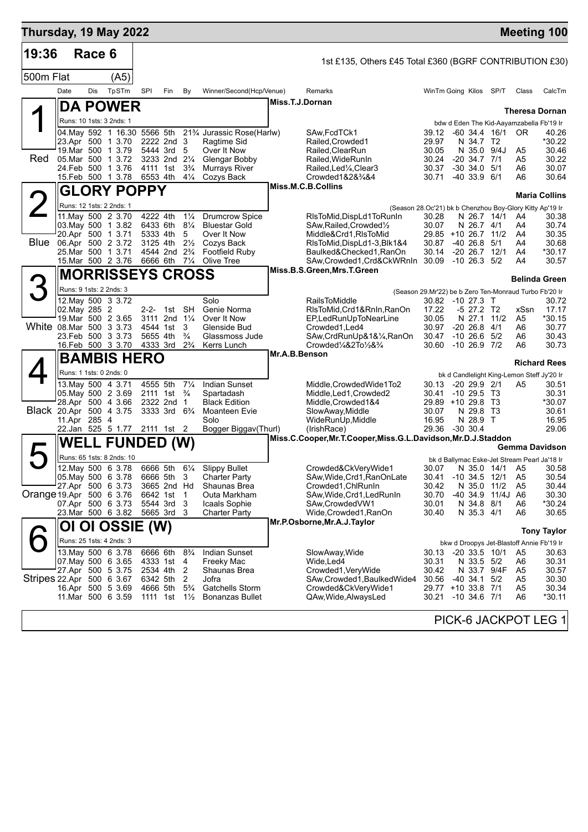| 19:36                     |                                              |        |                                                     |                           |                                        |                                  |                                                                                                  |                 |                                                                                   |                                                        |                  |                                |                   |          |                                                                            |
|---------------------------|----------------------------------------------|--------|-----------------------------------------------------|---------------------------|----------------------------------------|----------------------------------|--------------------------------------------------------------------------------------------------|-----------------|-----------------------------------------------------------------------------------|--------------------------------------------------------|------------------|--------------------------------|-------------------|----------|----------------------------------------------------------------------------|
|                           |                                              | Race 6 |                                                     |                           |                                        |                                  |                                                                                                  |                 | 1st £135, Others £45 Total £360 (BGRF CONTRIBUTION £30)                           |                                                        |                  |                                |                   |          |                                                                            |
| 500m Flat                 |                                              |        | (A5)                                                |                           |                                        |                                  |                                                                                                  |                 |                                                                                   |                                                        |                  |                                |                   |          |                                                                            |
|                           | Date                                         | Dis    | TpSTm                                               | SPI                       | Fin                                    | By                               | Winner/Second(Hcp/Venue)                                                                         |                 | Remarks                                                                           | WinTm Going Kilos                                      |                  |                                | SP/T              | Class    | CalcTm                                                                     |
|                           |                                              |        | <b>DA POWER</b>                                     |                           |                                        |                                  |                                                                                                  | Miss.T.J.Dornan |                                                                                   |                                                        |                  |                                |                   |          | <b>Theresa Dornan</b>                                                      |
|                           |                                              |        | Runs: 10 1sts: 3 2nds: 1                            |                           |                                        |                                  |                                                                                                  |                 |                                                                                   |                                                        |                  |                                |                   |          | bdw d Eden The Kid-Aayamzabella Fb'19 Ir                                   |
|                           |                                              |        | 23.Apr 500 1 3.70                                   | 2222 2nd 3                |                                        |                                  | 04. May 592 1 16.30 5566 5th 21 <sup>3</sup> / <sub>4</sub> Jurassic Rose (Harlw)<br>Ragtime Sid |                 | SAw, FcdTCk1<br>Railed, Crowded 1                                                 | 39.12<br>29.97                                         |                  | N 34.7 T2                      | $-60, 34.4, 16/1$ | 0R       | 40.26<br>*30.22                                                            |
|                           |                                              |        | 19. Mar 500 1 3.79                                  | 5444 3rd                  |                                        | 5                                | Over It Now                                                                                      |                 | Railed, ClearRun                                                                  | 30.05                                                  |                  | N 35.0 9/4J                    |                   | A5       | 30.46                                                                      |
| Red                       |                                              |        | 05.Mar 500 1 3.72<br>24.Feb 500 1 3.76              | 3233 2nd 21/4<br>4111 1st |                                        | $3\frac{3}{4}$                   | Glengar Bobby<br>Murrays River                                                                   |                 | Railed. Wide Run In<br>Railed,Led¼,Clear3                                         | 30.24<br>30.37                                         |                  | $-20, 34.7, 7/1$<br>$-30$ 34.0 | 5/1               | A5<br>A6 | 30.22<br>30.07                                                             |
|                           |                                              |        | 15.Feb 500 1 3.78                                   | 6553 4th                  |                                        | $4\frac{1}{4}$                   | Cozys Back                                                                                       |                 | Crowded1&2&34&4                                                                   | 30.71                                                  |                  | $-40, 33.9, 6/1$               |                   | A6       | 30.64                                                                      |
|                           |                                              |        | <b>GLORY POPPY</b>                                  |                           |                                        |                                  |                                                                                                  |                 | Miss.M.C.B.Collins                                                                |                                                        |                  |                                |                   |          | <b>Maria Collins</b>                                                       |
|                           | Runs: 12 1sts: 2 2nds: 1                     |        |                                                     |                           |                                        |                                  |                                                                                                  |                 | (Season 28.Oc'21) bk b Chenzhou Boy-Glory Kitty Ap'19 Ir                          |                                                        |                  |                                |                   |          |                                                                            |
|                           |                                              |        | 11. May 500 2 3.70<br>03. May 500 1 3.82            | 4222 4th<br>6433 6th      |                                        | $1\frac{1}{4}$<br>$8\frac{1}{4}$ | <b>Drumcrow Spice</b><br><b>Bluestar Gold</b>                                                    |                 | RIsToMid, DispLd1ToRunIn<br>SAw, Railed, Crowded 1/2                              | 30.28<br>30.07                                         |                  | N 26.7 14/1<br>N 26.7 4/1      |                   | A4<br>A4 | 30.38<br>30.74                                                             |
| <b>Blue</b>               | 20.Apr 500 1 3.71                            |        |                                                     | 5333 4th                  |                                        | 5                                | Over It Now                                                                                      |                 | Middle&Crd1,RIsToMid                                                              | 29.85 +10 26.7 11/2                                    |                  |                                |                   | A4       | 30.35                                                                      |
|                           | 25.Mar 500 1 3.71                            |        | 06.Apr 500 2 3.72                                   | 3125 4th                  | 4544 2nd 2 <sup>3</sup> / <sub>4</sub> | $2\frac{1}{2}$                   | Cozys Back<br><b>Footfield Rubv</b>                                                              |                 | RIsToMid,DispLd1-3,Blk1&4<br>Baulked&Checked1, RanOn                              | 30.87<br>30.14                                         |                  | $-4026.8$<br>$-20$ 26.7 $12/1$ | 5/1               | A4<br>A4 | 30.68<br>*30.17                                                            |
|                           |                                              |        | 15. Mar 500 2 3.76                                  | 6666 6th 71/4             |                                        |                                  | Olive Tree                                                                                       |                 | SAw, Crowded 1, Crd& CkWRnIn 30.09<br>Miss.B.S.Green, Mrs.T.Green                 |                                                        |                  | -10 26.3                       | 5/2               | A4       | 30.57                                                                      |
|                           |                                              |        | <b>MORRISSEYS CROSS</b>                             |                           |                                        |                                  |                                                                                                  |                 |                                                                                   |                                                        |                  |                                |                   |          | <b>Belinda Green</b>                                                       |
|                           | Runs: 9 1sts: 2 2nds: 3                      |        |                                                     |                           |                                        |                                  |                                                                                                  |                 |                                                                                   | (Season 29.Mr'22) be b Zero Ten-Monraud Turbo Fb'20 Ir |                  |                                |                   |          |                                                                            |
|                           | 02. May 285 2                                |        | 12. May 500 3 3.72                                  |                           | 2-2- 1st SH                            |                                  | Solo<br>Genie Norma                                                                              |                 | <b>RailsToMiddle</b><br>RIsToMid, Crd1&RnIn, RanOn                                | 30.82<br>17.22                                         |                  | $-10$ 27.3 T<br>-5 27.2 T2     |                   | xSsn     | 30.72<br>17.17                                                             |
| White 08.Mar 500 3 3.73   |                                              |        | 19. Mar 500 2 3.65                                  | 4544 1st                  | 3111 2nd 11/4                          | 3                                | Over It Now<br>Glenside Bud                                                                      |                 | EP,LedRunUpToNearLine<br>Crowded1, Led4                                           | 30.05<br>30.97                                         |                  | N 27.1<br>$-2026.8$            | 11/2<br>4/1       | A5<br>A6 | *30.15<br>30.77                                                            |
|                           |                                              |        | 23.Feb 500 3 3.73                                   | 5655 4th                  |                                        | $\frac{3}{4}$                    | Glassmoss Jude                                                                                   |                 | SAw, CrdRunUp&1&1/4, RanOn                                                        | 30.47                                                  |                  | $-10$ 26.6 $5/2$               |                   | A6       | 30.43                                                                      |
|                           |                                              |        | 16.Feb 500 3 3.70                                   | 4333 3rd                  |                                        | $2\frac{3}{4}$                   | Kerrs Lunch                                                                                      | Mr.A.B.Benson   | $Crowded$ <sup><math>1/4</math></sup> & $2To$ <sup><math>1/2</math></sup> & $3/4$ | 30.60                                                  |                  | $-1026.97/2$                   |                   | A6       | 30.73                                                                      |
|                           |                                              |        | <b>BAMBIS HERO</b>                                  |                           |                                        |                                  |                                                                                                  |                 |                                                                                   |                                                        |                  |                                |                   |          | <b>Richard Rees</b>                                                        |
|                           | Runs: 1 1sts: 0 2nds: 0<br>13.May 500 4 3.71 |        |                                                     | 4555 5th                  |                                        | $7\frac{1}{4}$                   | <b>Indian Sunset</b>                                                                             |                 | Middle, Crowded Wide 1 To 2                                                       | 30.13                                                  |                  | $-20$ 29.9 $2/1$               |                   | A5       | bk d Candlelight King-Lemon Steff Jy'20 Ir<br>30.51                        |
|                           |                                              |        | 05. May 500 2 3.69                                  | 2111 1st                  |                                        | $\frac{3}{4}$                    | Spartadash                                                                                       |                 | Middle, Led1, Crowded2                                                            | 30.41                                                  |                  | $-10, 29.5, 13$                |                   |          | 30.31                                                                      |
| Black 20.Apr 500 4 3.75   |                                              |        | 28.Apr 500 4 3.66                                   | 2322 2nd                  | 3333 3rd 6 <sup>3</sup> / <sub>4</sub> | $\mathbf 1$                      | <b>Black Edition</b><br>Moanteen Evie                                                            |                 | Middle, Crowded 1&4<br>SlowAway, Middle                                           | 29.89 +10 29.8<br>30.07                                |                  | N 29.8                         | - T3<br>- T3      |          | *30.07<br>30.61                                                            |
|                           | 11.Apr 285 4                                 |        |                                                     |                           |                                        |                                  | Solo                                                                                             |                 | WideRunUp,Middle                                                                  | 16.95                                                  |                  | N 28.9 T                       |                   |          | 16.95                                                                      |
|                           |                                              |        | 22.Jan 525 5 1.77 2111 1st 2                        |                           |                                        |                                  | Bogger Biggav(Thurl)                                                                             |                 | (IrishRace)<br>Miss.C.Cooper, Mr.T.Cooper, Miss.G.L.Davidson, Mr.D.J.Staddon      | 29.36                                                  | $-30,30.4$       |                                |                   |          | 29.06                                                                      |
|                           |                                              |        | <b>WELL FUNDED (W)</b><br>Runs: 65 1sts: 8 2nds: 10 |                           |                                        |                                  |                                                                                                  |                 |                                                                                   |                                                        |                  |                                |                   |          | Gemma Davidson                                                             |
|                           |                                              |        | 12. May 500 6 3.78                                  | 6666 5th                  |                                        | $6\frac{1}{4}$                   | <b>Slippy Bullet</b>                                                                             |                 | Crowded&CkVeryWide1                                                               |                                                        |                  |                                |                   |          | bk d Ballymac Eske-Jet Stream Pearl Ja'18 Ir<br>30.07 N 35.0 14/1 A5 30.58 |
|                           |                                              |        | 05. May 500 6 3.78                                  | 6666 5th                  |                                        | 3                                | Charter Party                                                                                    |                 | SAw, Wide, Crd1, RanOnLate                                                        | 30.41                                                  |                  | $-10$ 34.5 12/1                |                   | A5       | 30.54                                                                      |
| Orange 19.Apr 500 6 3.76  |                                              |        | 27.Apr 500 6 3.73                                   | 6642 1st                  | 3665 2nd Hd                            | 1                                | Shaunas Brea<br>Outa Markham                                                                     |                 | Crowded1, ChlRunIn<br>SAw,Wide,Crd1,LedRunIn                                      | 30.42<br>30.70                                         |                  | N 35.0 11/2<br>-40 34.9        | 11/4J             | A5<br>A6 | 30.44<br>30.30                                                             |
|                           |                                              |        | 07.Apr 500 6 3.73<br>23.Mar 500 6 3.82              | 5544 3rd<br>5665 3rd      |                                        | 3<br>3                           | Icaals Sophie<br>Charter Party                                                                   |                 | SAw, Crowded VW1<br>Wide, Crowded 1, RanOn                                        | 30.01<br>30.40                                         |                  | N 34.8 8/1<br>N 35.3 4/1       |                   | A6<br>A6 | *30.24<br>30.65                                                            |
|                           | OI                                           |        | OI OSSIE (W)                                        |                           |                                        |                                  |                                                                                                  |                 | Mr.P.Osborne, Mr.A.J.Taylor                                                       |                                                        |                  |                                |                   |          |                                                                            |
|                           |                                              |        | Runs: 25 1sts: 4 2nds: 3                            |                           |                                        |                                  |                                                                                                  |                 |                                                                                   |                                                        |                  |                                |                   |          | <b>Tony Taylor</b>                                                         |
|                           |                                              |        | 13 May 500 6 3.78                                   | 6666 6th                  |                                        | $8\frac{3}{4}$                   | <b>Indian Sunset</b>                                                                             |                 | SlowAway, Wide                                                                    | 30.13                                                  |                  | $-20$ 33.5 10/1                |                   | A5       | bkw d Droopys Jet-Blastoff Annie Fb'19 Ir<br>30.63                         |
|                           |                                              |        | 07. May 500 6 3.65<br>27.Apr 500 5 3.75             | 4333 1st<br>2534 4th      |                                        | 4<br>2                           | Freeky Mac<br>Shaunas Brea                                                                       |                 | Wide, Led4<br>Crowded1, VeryWide                                                  | 30.31<br>30.42                                         |                  | N 33.5 5/2<br>N 33.7 9/4F      |                   | A6<br>A5 | 30.31<br>30.57                                                             |
| Stripes 22.Apr 500 6 3.67 |                                              |        |                                                     | 6342 5th                  |                                        | 2                                | Jofra                                                                                            |                 | SAw, Crowded 1, Baulked Wide 4                                                    | 30.56                                                  |                  | -40 34.1                       | 5/2               | A5       | 30.30                                                                      |
|                           |                                              |        | 16.Apr 500 5 3.69<br>11. Mar 500 6 3.59             | 4666 5th<br>1111 1st      |                                        | $5\frac{3}{4}$<br>$1\frac{1}{2}$ | Gatchells Storm<br><b>Bonanzas Bullet</b>                                                        |                 | Crowded&CkVeryWide1<br>QAw, Wide, Always Led                                      | 29.77 +10 33.8 7/1<br>30.21                            | $-10, 34.6, 7/1$ |                                |                   | A5<br>A6 | 30.34<br>*30.11                                                            |
|                           |                                              |        |                                                     |                           |                                        |                                  |                                                                                                  |                 |                                                                                   |                                                        |                  |                                |                   |          |                                                                            |
|                           |                                              |        |                                                     |                           |                                        |                                  |                                                                                                  |                 |                                                                                   |                                                        |                  |                                |                   |          | PICK-6 JACKPOT LEG 1                                                       |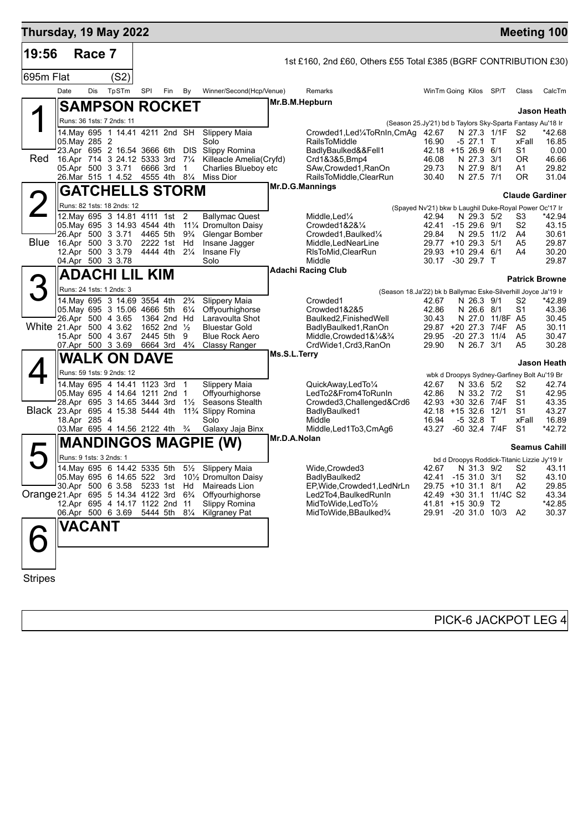| Thursday, 19 May 2022                                            |                                                  |        |                                                                   |                        |     |                     |                                                                                                      |              |                                                                                                                            |                                          |                          |                         |                | <b>Meeting 100</b>                                     |
|------------------------------------------------------------------|--------------------------------------------------|--------|-------------------------------------------------------------------|------------------------|-----|---------------------|------------------------------------------------------------------------------------------------------|--------------|----------------------------------------------------------------------------------------------------------------------------|------------------------------------------|--------------------------|-------------------------|----------------|--------------------------------------------------------|
| 19:56                                                            |                                                  | Race 7 |                                                                   |                        |     |                     |                                                                                                      |              | 1st £160, 2nd £60, Others £55 Total £385 (BGRF CONTRIBUTION £30)                                                           |                                          |                          |                         |                |                                                        |
| 695m Flat                                                        |                                                  |        | (S2)                                                              |                        |     |                     |                                                                                                      |              |                                                                                                                            |                                          |                          |                         |                |                                                        |
|                                                                  | Date                                             | Dis    | TpSTm                                                             | SPI                    | Fin | By                  | Winner/Second(Hcp/Venue)                                                                             |              | Remarks                                                                                                                    | WinTm Going Kilos SP/T                   |                          |                         | Class          | CalcTm                                                 |
|                                                                  |                                                  |        | <b>SAMPSON ROCKET</b>                                             |                        |     |                     |                                                                                                      |              | Mr.B.M.Hepburn                                                                                                             |                                          |                          |                         |                |                                                        |
|                                                                  |                                                  |        | Runs: 36 1sts: 7 2nds: 11                                         |                        |     |                     |                                                                                                      |              |                                                                                                                            |                                          |                          |                         |                | Jason Heath                                            |
|                                                                  |                                                  |        | 14 May 695 1 14.41 4211 2nd SH                                    |                        |     |                     | <b>Slippery Maia</b>                                                                                 |              | (Season 25.Jy'21) bd b Taylors Sky-Sparta Fantasy Au'18 Ir<br>Crowded1, Led <sup>1</sup> / <sub>4</sub> ToRnIn, CmAg 42.67 |                                          |                          | N 27.3 1/1F             | S2             | *42.68                                                 |
|                                                                  | 05. May 285 2                                    |        |                                                                   |                        |     |                     | Solo                                                                                                 |              | <b>RailsToMiddle</b>                                                                                                       | 16.90                                    | -5 27.1 T                |                         | xFall          | 16.85                                                  |
| Red                                                              |                                                  |        | 23.Apr 695 2 16.54 3666 6th                                       |                        |     | DIS.                | Slippy Romina                                                                                        |              | BadlyBaulked&&Fell1                                                                                                        | $42.18 + 1526.9$                         |                          | 6/1                     | S1<br>0R       | 0.00                                                   |
|                                                                  | 16.Apr 714 3 24.12 5333 3rd<br>05.Apr 500 3 3.71 |        |                                                                   | 6666 3rd               |     | $7\frac{1}{4}$<br>1 | Killeacle Amelia(Cryfd)<br>Charlies Blueboy etc                                                      |              | Crd1&3&5, Bmp4<br>SAw, Crowded 1, RanOn                                                                                    | 46.08<br>29.73                           | N 27.3 3/1<br>N 27.9     | 8/1                     | A1             | 46.66<br>29.82                                         |
|                                                                  | 26.Mar 515 1 4.52                                |        |                                                                   | 4555 4th 81/4          |     |                     | Miss Dior                                                                                            |              | RailsToMiddle, ClearRun                                                                                                    | 30.40                                    | N 27.5 7/1               |                         | 0R.            | 31.04                                                  |
|                                                                  |                                                  |        | <b>GATCHELLS STORM</b>                                            |                        |     |                     |                                                                                                      |              | Mr.D.G.Mannings                                                                                                            |                                          |                          |                         |                | <b>Claude Gardiner</b>                                 |
| 2                                                                |                                                  |        | Runs: 82 1sts: 18 2nds: 12                                        |                        |     |                     |                                                                                                      |              |                                                                                                                            |                                          |                          |                         |                | (Spayed Nv'21) bkw b Laughil Duke-Royal Power Oc'17 Ir |
|                                                                  |                                                  |        | 12. May 695 3 14.81 4111 1st 2                                    |                        |     |                     | <b>Ballymac Quest</b>                                                                                |              | Middle,Led¼                                                                                                                | 42.94                                    | N 29.3 5/2               |                         | S3             | *42.94                                                 |
|                                                                  | 05. May 695 3 14.93 4544 4th                     |        |                                                                   |                        |     | $9\frac{3}{4}$      | 111⁄4 Dromulton Daisy                                                                                |              | Crowded1&2&1/4                                                                                                             | 42.41<br>29.84                           | $-1529.69/1$             | 11/2                    | S2             | 43.15                                                  |
| <b>Blue</b>                                                      | 26.Apr 500 3 3.71<br>16.Apr 500 3 3.70           |        |                                                                   | 4465 5th<br>2222 1st   |     | Hd                  | Glengar Bomber<br>Insane Jagger                                                                      |              | Crowded1, Baulked1/4<br>Middle, LedNearLine                                                                                | 29.77 +10 29.3 5/1                       | N 29.5                   |                         | A4<br>A5       | 30.61<br>29.87                                         |
|                                                                  | 12.Apr 500 3 3.79                                |        |                                                                   | 4444 4th               |     | $2\frac{1}{4}$      | Insane Fly                                                                                           |              | RIsToMid, ClearRun                                                                                                         | 29.93 +10 29.4 6/1                       |                          |                         | A4             | 30.20                                                  |
|                                                                  | 04.Apr 500 3 3.78                                |        |                                                                   |                        |     |                     | Solo                                                                                                 |              | Middle<br><b>Adachi Racing Club</b>                                                                                        | 30.17 -30 29.7 T                         |                          |                         |                | 29.87                                                  |
|                                                                  |                                                  |        | <b>ADACHI LIL KIM</b>                                             |                        |     |                     |                                                                                                      |              |                                                                                                                            |                                          |                          |                         |                | <b>Patrick Browne</b>                                  |
| B                                                                | Runs: 24 1sts: 1 2nds: 3                         |        |                                                                   |                        |     |                     |                                                                                                      |              | (Season 18.Ja'22) bk b Ballymac Eske-Silverhill Joyce Ja'19 Ir                                                             |                                          |                          |                         |                |                                                        |
|                                                                  |                                                  |        | 14. May 695 3 14.69 3554 4th                                      |                        |     | $2\frac{3}{4}$      | Slippery Maia                                                                                        |              | Crowded1                                                                                                                   | 42.67                                    | N 26.3 9/1               |                         | S2             | *42.89                                                 |
|                                                                  | 26.Apr 500 4 3.65                                |        | 05. May 695 3 15.06 4666 5th                                      | 1364 2nd Hd            |     | $6\frac{1}{4}$      | Offyourhighorse<br>Laravoulta Shot                                                                   |              | Crowded1&2&5<br>Baulked2, Finished Well                                                                                    | 42.86<br>30.43                           | N 26.6 8/1               | N 27.0 11/8F A5         | S1             | 43.36<br>30.45                                         |
|                                                                  | White 21.Apr 500 4 3.62                          |        |                                                                   | 1652 2nd $\frac{1}{2}$ |     |                     | <b>Bluestar Gold</b>                                                                                 |              | BadlyBaulked1, RanOn                                                                                                       | 29.87 +20 27.3 7/4F                      |                          |                         | A <sub>5</sub> | 30.11                                                  |
|                                                                  | 15.Apr 500 4 3.67                                |        |                                                                   | 2445 5th               |     | 9                   | <b>Blue Rock Aero</b>                                                                                |              | Middle, Crowded 1& 1/4& 3/4                                                                                                | 29.95                                    | $-20$ 27.3               | 11/4                    | A <sub>5</sub> | 30.47                                                  |
|                                                                  | 07.Apr 500 3 3.69                                |        |                                                                   | 6664 3rd               |     | $4\frac{3}{4}$      | <b>Classy Ranger</b>                                                                                 | Ms.S.L.Terry | CrdWide1,Crd3,RanOn                                                                                                        | 29.90                                    | N 26.7 3/1               |                         | A <sub>5</sub> | 30.28                                                  |
|                                                                  |                                                  |        | <b>WALK ON DAVE</b>                                               |                        |     |                     |                                                                                                      |              |                                                                                                                            |                                          |                          |                         |                | Jason Heath                                            |
|                                                                  |                                                  |        | Runs: 59 1sts: 9 2nds: 12                                         |                        |     |                     |                                                                                                      |              |                                                                                                                            |                                          |                          |                         |                | wbk d Droopys Sydney-Garfiney Bolt Au'19 Br            |
|                                                                  |                                                  |        | 14 May 695 4 14.41 1123 3rd 1                                     |                        |     |                     | Slippery Maia                                                                                        |              | QuickAway,LedTo1/4                                                                                                         | 42.67                                    | N 33.6 5/2               |                         | S2             | 42.74                                                  |
|                                                                  |                                                  |        | 05. May 695 4 14.64 1211 2nd 1<br>28.Apr 695 3 14.65 3444 3rd     |                        |     | $1\frac{1}{2}$      | Offyourhighorse<br>Seasons Stealth                                                                   |              | LedTo2&From4ToRunIn<br>Crowded3, Challenged& Crd6                                                                          | 42.86<br>42.93 +30 32.6 7/4F             | N 33.2 7/2               |                         | S1<br>S1       | 42.95<br>43.35                                         |
|                                                                  | Black 23.Apr 695 4 15.38 5444 4th                |        |                                                                   |                        |     |                     | 11% Slippy Romina                                                                                    |              | BadlyBaulked1                                                                                                              | 42.18                                    | +15 32.6                 | 12/1                    | S1             | 43.27                                                  |
|                                                                  | 18.Apr 285 4                                     |        | 03.Mar 695 4 14.56 2122 4th                                       |                        |     | $\frac{3}{4}$       | Solo<br>Galaxy Jaja Binx                                                                             |              | Middle<br>Middle, Led1To3, CmAg6                                                                                           | 16.94<br>43.27                           | -5 32.8<br>-60 32.4 7/4F | $\top$                  | xFall<br>S1    | 16.89<br>*42.72                                        |
|                                                                  |                                                  |        |                                                                   |                        |     |                     |                                                                                                      | Mr.D.A.Nolan |                                                                                                                            |                                          |                          |                         |                |                                                        |
|                                                                  |                                                  |        |                                                                   |                        |     |                     | <b>MANDINGOS MAGPIE (W)</b>                                                                          |              |                                                                                                                            |                                          |                          |                         |                | <b>Seamus Cahill</b>                                   |
| 5                                                                | Runs: 9 1sts: 3 2nds: 1                          |        |                                                                   |                        |     |                     |                                                                                                      |              |                                                                                                                            |                                          |                          |                         |                | bd d Droopys Roddick-Titanic Lizzie Jy'19 Ir           |
|                                                                  |                                                  |        |                                                                   |                        |     |                     | 14. May 695 6 14.42 5335 5th 51/2 Slippery Maia<br>05. May 695 6 14.65 522 3rd 101/2 Dromulton Daisy |              | Wide, Crowded3<br>BadlyBaulked2                                                                                            | 42.67<br>42.41 -15 31.0 3/1              |                          | N 31.3 9/2 S2           | S <sub>2</sub> | 43.11<br>43.10                                         |
|                                                                  | 30.Apr 500 6 3.58 5233 1st Hd                    |        |                                                                   |                        |     |                     | Maireads Lion                                                                                        |              | EP, Wide, Crowded1, LedNrLn                                                                                                | 29.75 +10 31.1 8/1                       |                          |                         | A2             | 29.85                                                  |
| Orange 21.Apr 695 5 14.34 4122 3rd 6 <sup>3</sup> / <sub>4</sub> |                                                  |        |                                                                   |                        |     |                     | Offyourhighorse                                                                                      |              | Led2To4, BaulkedRunIn                                                                                                      |                                          |                          | 42.49 +30 31.1 11/4C S2 |                | 43.34                                                  |
|                                                                  |                                                  |        | 12.Apr 695 4 14.17 1122 2nd 11<br>06.Apr 500 6 3.69 5444 5th 81/4 |                        |     |                     | Slippy Romina<br><b>Kilgraney Pat</b>                                                                |              | MidToWide, LedTo1/2<br>MidToWide, BBaulked%                                                                                | 41.81 +15 30.9 T2<br>29.91 -20 31.0 10/3 |                          |                         | A2             | *42.85<br>30.37                                        |
|                                                                  | <b>VACANT</b>                                    |        |                                                                   |                        |     |                     |                                                                                                      |              |                                                                                                                            |                                          |                          |                         |                |                                                        |
|                                                                  |                                                  |        |                                                                   |                        |     |                     |                                                                                                      |              |                                                                                                                            |                                          |                          |                         |                |                                                        |
|                                                                  |                                                  |        |                                                                   |                        |     |                     |                                                                                                      |              |                                                                                                                            |                                          |                          |                         |                |                                                        |
|                                                                  |                                                  |        |                                                                   |                        |     |                     |                                                                                                      |              |                                                                                                                            |                                          |                          |                         |                |                                                        |
|                                                                  |                                                  |        |                                                                   |                        |     |                     |                                                                                                      |              |                                                                                                                            |                                          |                          |                         |                |                                                        |

Stripes

PICK-6 JACKPOT LEG 4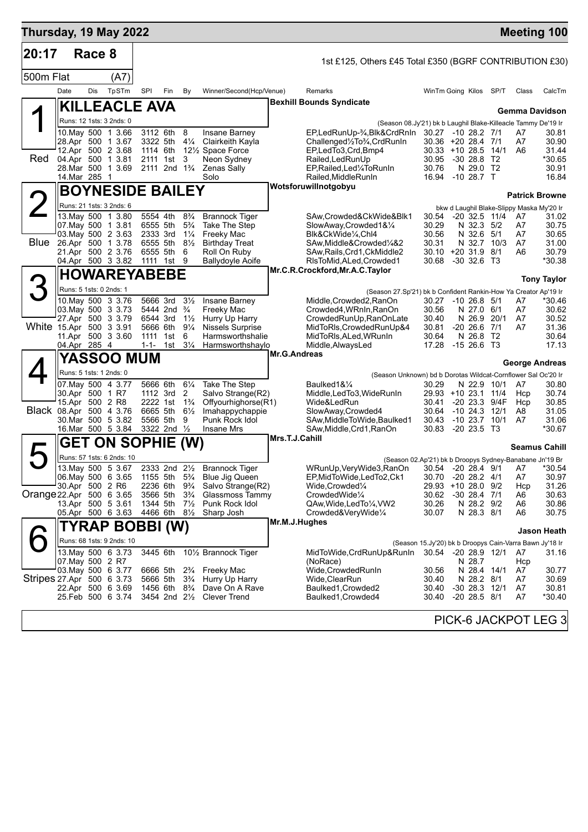| Thursday, 19 May 2022     |                                                                                                        |        |                                                              |                                                          |                                                                                                      |                                                                           |                                                                                                                          |                                                                                                                                                                                    |                                                                                |                                                                                           |      |                                   | <b>Meeting 100</b>                                  |
|---------------------------|--------------------------------------------------------------------------------------------------------|--------|--------------------------------------------------------------|----------------------------------------------------------|------------------------------------------------------------------------------------------------------|---------------------------------------------------------------------------|--------------------------------------------------------------------------------------------------------------------------|------------------------------------------------------------------------------------------------------------------------------------------------------------------------------------|--------------------------------------------------------------------------------|-------------------------------------------------------------------------------------------|------|-----------------------------------|-----------------------------------------------------|
| 20:17                     |                                                                                                        | Race 8 |                                                              |                                                          |                                                                                                      |                                                                           |                                                                                                                          | 1st £125, Others £45 Total £350 (BGRF CONTRIBUTION £30)                                                                                                                            |                                                                                |                                                                                           |      |                                   |                                                     |
| 500m Flat                 |                                                                                                        |        | (A7)                                                         |                                                          |                                                                                                      |                                                                           |                                                                                                                          |                                                                                                                                                                                    |                                                                                |                                                                                           |      |                                   |                                                     |
|                           | Date                                                                                                   | Dis    | TpSTm                                                        | SPI                                                      | Fin                                                                                                  | By                                                                        | Winner/Second(Hcp/Venue)                                                                                                 | Remarks                                                                                                                                                                            | WinTm Going Kilos SP/T                                                         |                                                                                           |      | Class                             | CalcTm                                              |
|                           |                                                                                                        |        | <b>KILLEACLE AVA</b>                                         |                                                          |                                                                                                      |                                                                           |                                                                                                                          | <b>Bexhill Bounds Syndicate</b>                                                                                                                                                    |                                                                                |                                                                                           |      |                                   | Gemma Davidson                                      |
|                           |                                                                                                        |        | Runs: 12 1sts: 3 2nds: 0                                     |                                                          |                                                                                                      |                                                                           |                                                                                                                          | (Season 08.Jy'21) bk b Laughil Blake-Killeacle Tammy De'19 Ir                                                                                                                      |                                                                                |                                                                                           |      |                                   |                                                     |
| Red.                      | 28.Apr 500 1 3.67<br>04.Apr 500 1 3.81<br>14. Mar 285 1                                                |        | 10. May 500 1 3.66<br>12.Apr 500 2 3.68<br>28.Mar 500 1 3.69 | 3112 6th                                                 | 3322 5th<br>1114 6th<br>2111 1st<br>2111 2nd 1 <sup>3</sup> / <sub>4</sub>                           | 8<br>3                                                                    | Insane Barney<br>41⁄4 Clairkeith Kayla<br>12½ Space Force<br>Neon Sydney<br>Zenas Sally<br>Solo                          | EP,LedRunUp-3⁄4,Blk&CrdRnIn 30.27 -10 28.2 7/1<br>Challenged1/2To3/4, CrdRunIn<br>EP,LedTo3,Crd,Bmp4<br>Railed, Led Run Up<br>EP, Railed, Led 1/4 To Run In<br>Railed, MiddleRunIn | 30.36 +20 28.4 7/1<br>$30.33 + 10.28.5$<br>30.95<br>30.76<br>16.94 - 10 28.7 T | -30 28.8 T2<br>N 29.0 T2                                                                  | 14/1 | A7<br>A7<br>A6                    | 30.81<br>30.90<br>31.44<br>*30.65<br>30.91<br>16.84 |
|                           |                                                                                                        |        | <b>BOYNESIDE BAILEY</b>                                      |                                                          |                                                                                                      |                                                                           |                                                                                                                          | Wotsforuwillnotgobyu                                                                                                                                                               |                                                                                |                                                                                           |      |                                   | <b>Patrick Browne</b>                               |
|                           |                                                                                                        |        | Runs: 21 1sts: 3 2nds: 6                                     |                                                          |                                                                                                      |                                                                           |                                                                                                                          |                                                                                                                                                                                    |                                                                                |                                                                                           |      |                                   | bkw d Laughil Blake-Slippy Maska My'20 Ir           |
| <b>Blue</b>               | 07 May 500 1 3.81<br>03. May 500 2 3.63<br>26.Apr 500 1 3.78<br>21.Apr 500 2 3.76<br>04.Apr 500 3 3.82 |        | 13 May 500 1 3.80                                            | 5554 4th<br>6555 5th<br>2333 3rd<br>6555 5th<br>6555 5th | 1111 1st 9                                                                                           | $8\frac{3}{4}$<br>$5\frac{3}{4}$<br>$1\frac{1}{4}$<br>$8\frac{1}{2}$<br>6 | <b>Brannock Tiger</b><br>Take The Step<br>Freeky Mac<br><b>Birthday Treat</b><br>Roll On Ruby<br><b>Ballydoyle Aoife</b> | SAw,Crowded&CkWide&Blk1<br>SlowAway,Crowded1&1/4<br>Blk&CkWide1/4,Chl4<br>SAw, Middle& Crowded 1/4&2<br>SAw, Rails, Crd1, CkMiddle2<br>RIsToMid, ALed, Crowded1                    | 30.54 -20 32.5 11/4<br>30.29<br>30.56<br>30.31<br>$30.10 + 2031.98/1$<br>30.68 | N 32.3 5/2<br>N 32.6 5/1<br>N 32.7 10/3<br>-30 32.6 T3                                    |      | A7<br>A7<br>A7<br>A7<br>A6        | 31.02<br>30.75<br>30.65<br>31.00<br>30.79<br>*30.38 |
|                           |                                                                                                        |        | <b>HOWAREYABEBE</b>                                          |                                                          |                                                                                                      |                                                                           |                                                                                                                          | Mr.C.R.Crockford, Mr.A.C. Taylor                                                                                                                                                   |                                                                                |                                                                                           |      |                                   | <b>Tony Taylor</b>                                  |
| З                         | Runs: 5 1sts: 0 2nds: 1                                                                                |        |                                                              |                                                          |                                                                                                      |                                                                           |                                                                                                                          | (Season 27.Sp'21) bk b Confident Rankin-How Ya Creator Ap'19 Ir                                                                                                                    |                                                                                |                                                                                           |      |                                   |                                                     |
| White 15.Apr 500 3 3.91   | 03. May 500 3 3.73<br>27.Apr 500 3 3.79<br>11.Apr 500 3 3.60<br>04.Apr 285 4                           |        | 10. May 500 3 3.76                                           | 6544 3rd<br>5666 6th<br>1111<br>$1 - 1 -$                | 5666 3rd<br>5444 2nd <sup>3</sup> / <sub>4</sub><br>1st<br>1st                                       | $3\frac{1}{2}$<br>$1\frac{1}{2}$<br>$9\frac{1}{4}$<br>6<br>$3\frac{1}{4}$ | Insane Barney<br>Freeky Mac<br>Hurry Up Harry<br>Nissels Surprise<br>Harmsworthshalie<br>Harmsworthshaylo                | Middle, Crowded2, RanOn<br>Crowded4, WRnIn, RanOn<br>CrowdedRunUp, RanOnLate<br>MidToRIs, CrowdedRunUp&4<br>MidToRIs, ALed, WRunIn<br>Middle, AlwaysLed                            | 30.27<br>30.56<br>30.40<br>30.81<br>30.64<br>17.28                             | $-10$ 26.8 $5/1$<br>N 27.0 6/1<br>N 26.9 20/1<br>$-20, 26.6$<br>N 26.8 T2<br>$-1526.6$ T3 | 7/1  | A7<br>A7<br>A7<br>A7              | *30.46<br>30.62<br>30.52<br>31.36<br>30.64<br>17.13 |
|                           |                                                                                                        |        | <b>YASSOO MUM</b>                                            |                                                          |                                                                                                      |                                                                           |                                                                                                                          | Mr.G.Andreas                                                                                                                                                                       |                                                                                |                                                                                           |      |                                   | George Andreas                                      |
|                           | Runs: 5 1sts: 1 2nds: 0                                                                                |        |                                                              |                                                          |                                                                                                      |                                                                           |                                                                                                                          | (Season Unknown) bd b Dorotas Wildcat-Cornflower Sal Oc'20 Ir                                                                                                                      |                                                                                |                                                                                           |      |                                   |                                                     |
| Black 08.Apr 500 4 3.76   | 30.Apr 500 1 R7<br>15.Apr 500 2 R8<br>16.Mar 500 5 3.84                                                |        | 07.May 500 4 3.77<br>30.Mar 500 5 3.82                       | 5666 6th                                                 | 1112 3rd<br>2222 1st 1 <sup>3</sup> / <sub>4</sub><br>6665 5th<br>5566 5th<br>3322 2nd $\frac{1}{2}$ | $6\frac{1}{4}$<br>2<br>$6\frac{1}{2}$<br>9                                | Take The Step<br>Salvo Strange(R2)<br>Offyourhighorse(R1)<br>Imahappychappie<br>Punk Rock Idol<br><b>Insane Mrs</b>      | Baulked1&1/4<br>Middle, LedTo3, WideRunIn<br>Wide&LedRun<br>SlowAway, Crowded4<br>SAw, Middle To Wide, Baulked 1<br>SAw,Middle,Crd1,RanOn                                          | 30.29<br>29.93 +10 23.1 11/4<br>30.41<br>30.64<br>30.43<br>30.83               | N 22.9 10/1<br>-20 23.3 9/4F<br>$-10$ 24.3 $12/1$<br>$-10$ 23.7 $10/1$<br>$-2023.5$ T3    |      | A7<br>Hcp<br>Hcp<br>A8<br>A7      | 30.80<br>30.74<br>30.85<br>31.05<br>31.06<br>*30.67 |
|                           |                                                                                                        |        | <b>GET ON SOPHIE</b>                                         |                                                          |                                                                                                      | (W)                                                                       |                                                                                                                          | Mrs.T.J.Cahill                                                                                                                                                                     |                                                                                |                                                                                           |      |                                   | <b>Seamus Cahill</b>                                |
| 5                         |                                                                                                        |        | Runs: 57 1sts: 6 2nds: 10                                    |                                                          |                                                                                                      |                                                                           |                                                                                                                          | (Season 02.Ap'21) bk b Droopys Sydney-Banabane Jn'19 Br                                                                                                                            |                                                                                |                                                                                           |      |                                   |                                                     |
| Orange 22.Apr 500 6 3.65  | 06. May 500 6 3.65<br>30.Apr 500 2 R6<br>13.Apr 500 5 3.61<br>05.Apr 500 6 3.63                        |        | 13. May 500 5 3.67                                           | 1155 5th 5 <sup>3</sup> / <sub>4</sub><br>3566 5th       | 2333 2nd 21/2<br>2236 6th<br>1344 5th<br>4466 6th                                                    | $9\frac{3}{4}$<br>$3\frac{3}{4}$<br>$7\frac{1}{2}$<br>$8\frac{1}{2}$      | Brannock Tiger<br><b>Blue Jig Queen</b><br>Salvo Strange(R2)<br>Glassmoss Tammy<br>Punk Rock Idol<br>Sharp Josh          | WRunUp, VeryWide3, RanOn<br>EP, MidToWide, LedTo2, Ck1<br>Wide,Crowded1/4<br>CrowdedWide1/4<br>QAw, Wide, Led To 1/4, VW2<br>Crowded&VeryWide1/4                                   | 30.54 -20 28.4 9/1 A7<br>30.70<br>29.93<br>30.62<br>30.26<br>30.07             | $-20$ 28.2 $4/1$<br>+10 28.0 9/2<br>$-30$ 28.4 $7/1$<br>N 28.2 9/2<br>N 28.3 8/1          |      | A7<br>Hcp<br>A6<br>A6<br>A6       | *30.54<br>30.97<br>31.26<br>30.63<br>30.86<br>30.75 |
|                           |                                                                                                        |        | TYRAP BOBBI (W)                                              |                                                          |                                                                                                      |                                                                           |                                                                                                                          | Mr.M.J.Hughes                                                                                                                                                                      |                                                                                |                                                                                           |      |                                   | Jason Heath                                         |
|                           |                                                                                                        |        | Runs: 68 1sts: 9 2nds: 10                                    |                                                          |                                                                                                      |                                                                           |                                                                                                                          |                                                                                                                                                                                    | (Season 15.Jy'20) bk b Droopys Cain-Varra Bawn Jy'18 Ir                        |                                                                                           |      |                                   |                                                     |
| Stripes 27 Apr 500 6 3.73 | 07. May 500 2 R7<br>03. May 500 6 3.77<br>22.Apr 500 6 3.69<br>25.Feb 500 6 3.74                       |        | 13. May 500 6 3.73                                           |                                                          | 3445 6th<br>6666 5th<br>5666 5th<br>1456 6th 8 <sup>3</sup> / <sub>4</sub><br>3454 2nd 21/2          | $2\frac{3}{4}$<br>$3\frac{3}{4}$                                          | 10½ Brannock Tiger<br>Freeky Mac<br>Hurry Up Harry<br>Dave On A Rave<br><b>Clever Trend</b>                              | MidToWide,CrdRunUp&RunIn<br>(NoRace)<br>Wide, Crowded RunIn<br>Wide, ClearRun<br>Baulked1, Crowded2<br>Baulked1, Crowded4                                                          | 30.54 -20 28.9 12/1<br>30.56<br>30.40<br>30.40<br>30.40                        | N 28.7<br>N 28.4 14/1<br>N 28.2 8/1<br>$-30$ 28.3 12/1<br>$-20$ 28.5 $8/1$                |      | A7<br>Hcp<br>A7<br>A7<br>A7<br>A7 | 31.16<br>30.77<br>30.69<br>30.81<br>$*30.40$        |
|                           |                                                                                                        |        |                                                              |                                                          |                                                                                                      |                                                                           |                                                                                                                          |                                                                                                                                                                                    |                                                                                |                                                                                           |      |                                   | PICK-6 JACKPOT LEG 3                                |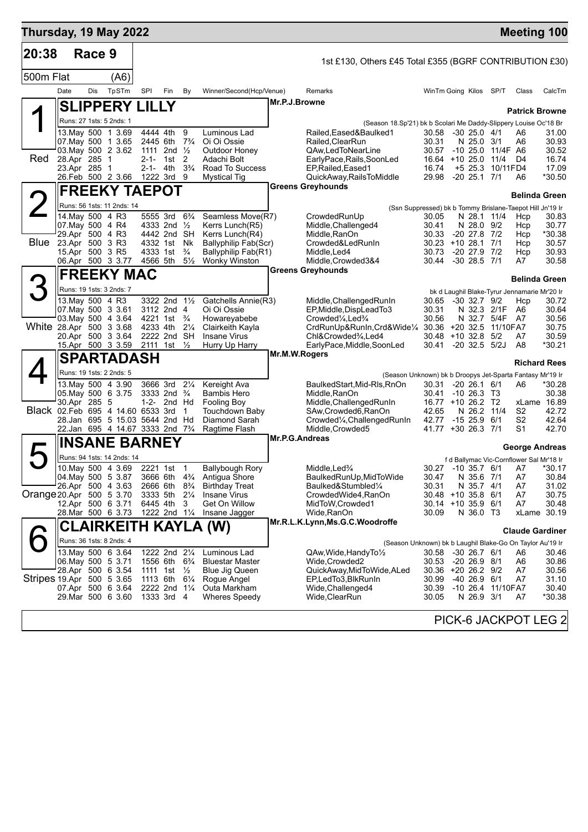| Thursday, 19 May 2022     |                                     |            |                                                                      |     |                                                     |                |                                       |                |                                                                                          |                                |                                       |                       | <b>Meeting 100</b>                           |                 |
|---------------------------|-------------------------------------|------------|----------------------------------------------------------------------|-----|-----------------------------------------------------|----------------|---------------------------------------|----------------|------------------------------------------------------------------------------------------|--------------------------------|---------------------------------------|-----------------------|----------------------------------------------|-----------------|
| 20:38                     |                                     | Race 9     |                                                                      |     |                                                     |                |                                       |                | 1st £130, Others £45 Total £355 (BGRF CONTRIBUTION £30)                                  |                                |                                       |                       |                                              |                 |
| 500m Flat                 |                                     |            | (A6)                                                                 |     |                                                     |                |                                       |                |                                                                                          |                                |                                       |                       |                                              |                 |
|                           | Date                                | <b>Dis</b> | TpSTm                                                                | SPI | Fin                                                 | By             | Winner/Second(Hcp/Venue)              |                | Remarks                                                                                  | WinTm Going Kilos SP/T         |                                       |                       | Class                                        | CalcTm          |
|                           |                                     |            | <b>SLIPPERY LILLY</b>                                                |     |                                                     |                |                                       | Mr.P.J.Browne  |                                                                                          |                                |                                       |                       | <b>Patrick Browne</b>                        |                 |
| ◢                         |                                     |            | Runs: 27 1sts: 5 2nds: 1                                             |     |                                                     |                |                                       |                | (Season 18.Sp'21) bk b Scolari Me Daddy-Slippery Louise Oc'18 Br                         |                                |                                       |                       |                                              |                 |
|                           |                                     |            | 13. May 500 1 3.69                                                   |     | 4444 4th                                            | 9              | Luminous Lad                          |                | Railed.Eased&Baulked1                                                                    | 30.58                          | $-30$ 25.0 $4/1$                      |                       | A6                                           | 31.00           |
|                           |                                     |            | 07. May 500 1 3.65                                                   |     | 2445 6th                                            | $7\frac{3}{4}$ | Oi Oi Ossie                           |                | Railed, Clear Run                                                                        | 30.31                          | N 25.0 3/1                            |                       | A6                                           | 30.93           |
| Red                       | 28.Apr 285                          |            | 03. May 500 2 3.62<br>$\mathbf 1$                                    |     | 1111 2nd $\frac{1}{2}$<br>2-1- 1st                  | 2              | Outdoor Honey<br>Adachi Bolt          |                | QAw,LedToNearLine<br>EarlyPace, Rails, SoonLed                                           | 30.57<br>16.64 +10 25.0 11/4   |                                       | -10 25.0 11/4F A6     | D4                                           | 30.52<br>16.74  |
|                           | 23.Apr 285                          |            | -1                                                                   |     | 2-1- 4th                                            | $3\frac{3}{4}$ | Road To Success                       |                | EP, Railed, Eased1                                                                       | 16.74                          |                                       | +5 25.3 10/11FD4      |                                              | 17.09           |
|                           |                                     |            | 26.Feb 500 2 3.66 1222 3rd 9                                         |     |                                                     |                | <b>Mystical Tig</b>                   |                | QuickAway, RailsToMiddle                                                                 | 29.98                          | $-20$ 25.1 $7/1$                      |                       | A6                                           | *30.50          |
|                           |                                     |            | <b>FREEKY TAEPOT</b>                                                 |     |                                                     |                |                                       |                | <b>Greens Greyhounds</b>                                                                 |                                |                                       |                       | <b>Belinda Green</b>                         |                 |
| $\angle$                  |                                     |            | Runs: 56 1sts: 11 2nds: 14                                           |     |                                                     |                |                                       |                | (Ssn Suppressed) bk b Tommy Brislane-Taepot Hill Jn'19 Ir                                |                                |                                       |                       |                                              |                 |
|                           | 14. May 500 4 R3                    |            |                                                                      |     | 5555 3rd                                            | $6\frac{3}{4}$ | Seamless Move(R7)                     |                | CrowdedRunUp                                                                             | 30.05                          | N 28.1 11/4                           |                       | Hcp                                          | 30.83           |
|                           | 07. May 500 4 R4<br>29.Apr 500 4 R3 |            |                                                                      |     | 4333 2nd 1/2<br>4442 2nd SH                         |                | Kerrs Lunch(R5)<br>Kerrs Lunch(R4)    |                | Middle, Challenged4<br>Middle, RanOn                                                     | 30.41<br>30.33                 | N 28.0 9/2<br>$-20$ 27.8 $7/2$        |                       | Hcp<br>Hcp                                   | 30.77<br>*30.38 |
| Blue                      | 23.Apr 500 3 R3                     |            |                                                                      |     | 4332 1st Nk                                         |                | Ballyphilip Fab(Scr)                  |                | Crowded&LedRunIn                                                                         | 30.23                          | $+10$ 28.1 7/1                        |                       | Hcp                                          | 30.57           |
|                           | 15.Apr 500 3 R5                     |            |                                                                      |     | 4333 1st                                            | $\frac{3}{4}$  | Ballyphilip Fab(R1)                   |                | Middle, Led4                                                                             | 30.73                          | $-20$ 27.9 $7/2$                      |                       | Hcp                                          | 30.93           |
|                           |                                     |            | 06.Apr 500 3 3.77                                                    |     | 4566 5th                                            | $5\frac{1}{2}$ | <b>Wonky Winston</b>                  |                | Middle, Crowded 3&4<br><b>Greens Greyhounds</b>                                          | 30.44                          | $-30$ 28.5 $7/1$                      |                       | A7                                           | 30.58           |
| 3                         |                                     |            | <b>FREEKY MAC</b>                                                    |     |                                                     |                |                                       |                |                                                                                          |                                |                                       |                       | <b>Belinda Green</b>                         |                 |
|                           |                                     |            | Runs: 19 1sts: 3 2nds: 7                                             |     |                                                     |                |                                       |                |                                                                                          |                                |                                       |                       | bk d Laughil Blake-Tyrur Jennamarie Mr'20 Ir |                 |
|                           | 13. May 500 4 R3                    |            | 07 May 500 3 3.61                                                    |     | 3322 2nd 11/2<br>3112 2nd 4                         |                | Gatchells Annie(R3)<br>Oi Oi Ossie    |                | Middle, Challenged Run In<br>EP, Middle, DispLead To 3                                   | 30.65<br>30.31                 | $-30$ 32.7 $9/2$<br>N 32.3            | 2/1F                  | Hcp<br>A6                                    | 30.72<br>30.64  |
|                           |                                     |            | 03. May 500 4 3.64                                                   |     | 4221 1st                                            | $\frac{3}{4}$  | Howareyabebe                          |                | Crowded <sup>1</sup> / <sub>4</sub> , Led <sup>3</sup> / <sub>4</sub>                    | 30.56                          | N 32.7 5/4F                           |                       | - A7                                         | 30.56           |
| White 28.Apr 500 3 3.68   |                                     |            |                                                                      |     | 4233 4th                                            | $2\frac{1}{4}$ | Clairkeith Kayla                      |                | CrdRunUp&RunIn,Crd&Wide1/4 30.36 +20 32.5                                                |                                |                                       | 11/10FA7              |                                              | 30.75           |
|                           |                                     |            | 20.Apr 500 3 3.64<br>15.Apr 500 3 3.59                               |     | 2222 2nd SH<br>2111 1st 1/2                         |                | <b>Insane Virus</b><br>Hurry Up Harry |                | Chl&Crowded%, Led4<br>EarlyPace, Middle, SoonLed                                         | 30.48<br>30.41                 | $+10$ 32.8 $5/2$<br>$-20$ 32.5 $5/2J$ |                       | A7<br>A8                                     | 30.59<br>*30.21 |
|                           |                                     |            | <b>SPARTADASH</b>                                                    |     |                                                     |                |                                       | Mr.M.W.Rogers  |                                                                                          |                                |                                       |                       |                                              |                 |
|                           |                                     |            | Runs: 19 1sts: 2 2nds: 5                                             |     |                                                     |                |                                       |                |                                                                                          |                                |                                       |                       | <b>Richard Rees</b>                          |                 |
|                           |                                     |            | 13. May 500 4 3.90                                                   |     | 3666 3rd                                            | $2\frac{1}{4}$ | Kereight Ava                          |                | (Season Unknown) bk b Droopys Jet-Sparta Fantasy Mr'19 Ir<br>BaulkedStart, Mid-Rls, RnOn | 30.31                          | $-20$ 26.1 6/1                        |                       | A6                                           | *30.28          |
|                           |                                     |            | 05. May 500 6 3.75                                                   |     | 3333 2nd $\frac{3}{4}$                              |                | <b>Bambis Hero</b>                    |                | Middle, RanOn                                                                            | 30.41                          | $-10, 26.3, 13$                       |                       |                                              | 30.38           |
|                           | 30.Apr 285 5                        |            |                                                                      |     | 1-2- 2nd Hd                                         |                | <b>Fooling Boy</b>                    |                | Middle, Challenged RunIn                                                                 | 16.77 +10 26.2 T2              |                                       |                       | xLame 16.89                                  |                 |
|                           |                                     |            | Black 02. Feb 695 4 14.60 6533 3rd<br>28.Jan 695 5 15.03 5644 2nd Hd |     |                                                     | $\mathbf{1}$   | Touchdown Baby<br>Diamond Sarah       |                | SAw, Crowded6, RanOn<br>Crowded <sup>1</sup> / <sub>4</sub> , Challenged Run In          | 42.65<br>42.77                 | N 26.2 11/4<br>$-1525.96/1$           |                       | S2<br>S <sub>2</sub>                         | 42.72<br>42.64  |
|                           |                                     |            | 22.Jan 695 4 14.67 3333 2nd 7 <sup>3</sup> / <sub>4</sub>            |     |                                                     |                | Ragtime Flash                         |                | Middle, Crowded5                                                                         | 41.77                          | $+30$ 26.3 7/1                        |                       | S <sub>1</sub>                               | 42.70           |
|                           |                                     |            | <b>INSANE BARNEY</b>                                                 |     |                                                     |                |                                       | Mr.P.G.Andreas |                                                                                          |                                |                                       |                       | <b>George Andreas</b>                        |                 |
|                           |                                     |            | Runs: 94 1sts: 14 2nds: 14                                           |     |                                                     |                |                                       |                |                                                                                          |                                |                                       |                       | f d Ballymac Vic-Cornflower Sal Mr'18 Ir     |                 |
|                           |                                     |            | 10. May 500 4 3.69                                                   |     | 2221 1st 1                                          |                | <b>Ballybough Rory</b>                |                | Middle, Led <sup>3</sup> / <sub>4</sub>                                                  |                                |                                       | 30.27 -10 35.7 6/1 A7 |                                              | *30.17          |
|                           |                                     |            | 04. May 500 5 3.87                                                   |     | 3666 6th 4 <sup>3</sup> / <sub>4</sub>              |                | Antigua Shore                         |                | BaulkedRunUp, MidToWide                                                                  | 30.47                          | N 35.6 7/1                            |                       | A7                                           | 30.84           |
| Orange 20.Apr 500 5 3.70  |                                     |            | 26.Apr 500 4 3.63                                                    |     | 2666 6th 8 <sup>3</sup> / <sub>4</sub><br>3333 5th  | $2\frac{1}{4}$ | <b>Birthday Treat</b><br>Insane Virus |                | Baulked&Stumbled1/4<br>CrowdedWide4, RanOn                                               | 30.31<br>$30.48 + 10.35.8$ 6/1 | N 35.7 4/1                            |                       | A7<br>A7                                     | 31.02<br>30.75  |
|                           |                                     |            | 12.Apr 500 6 3.71                                                    |     | 6445 4th                                            | 3              | Get On Willow                         |                | MidToW, Crowded1                                                                         | $30.14 + 10.35.9$ 6/1          |                                       |                       | A7                                           | 30.48           |
|                           |                                     |            | 28.Mar 500 6 3.73                                                    |     | 1222 2nd 11/4                                       |                | Insane Jagger                         |                | Wide, RanOn                                                                              | 30.09                          | N 36.0 T3                             |                       | xLame 30.19                                  |                 |
|                           |                                     |            |                                                                      |     |                                                     |                | CLAIRKEITH KAYLA (W)                  |                | Mr.R.L.K.Lynn,Ms.G.C.Woodroffe                                                           |                                |                                       |                       | <b>Claude Gardiner</b>                       |                 |
|                           |                                     |            | Runs: 36 1sts: 8 2nds: 4                                             |     |                                                     |                |                                       |                | (Season Unknown) bk b Laughil Blake-Go On Taylor Au'19 Ir                                |                                |                                       |                       |                                              |                 |
|                           |                                     |            | 13. May 500 6 3.64                                                   |     | 1222 2nd 21/4                                       |                | Luminous Lad                          |                | QAw, Wide, Handy To 1/2                                                                  | 30.58 -30 26.7 6/1             |                                       |                       | A6                                           | 30.46           |
|                           |                                     |            | 06. May 500 5 3.71                                                   |     | 1556 6th 6 <sup>3</sup> / <sub>4</sub>              |                | <b>Bluestar Master</b>                |                | Wide, Crowded2                                                                           | 30.53                          | -20 26.9 8/1                          |                       | A6                                           | 30.86           |
| Stripes 19.Apr 500 5 3.65 |                                     |            | 28.Apr 500 6 3.54                                                    |     | 1111 1st $\frac{1}{2}$<br>1113 6th 61/ <sub>4</sub> |                | Blue Jig Queen<br>Rogue Angel         |                | QuickAway, MidToWide, ALed<br>EP,LedTo3,BlkRunIn                                         | 30.36 +20 26.2 9/2<br>30.99    | $-4026.96/1$                          |                       | A7<br>A7                                     | 30.56<br>31.10  |
|                           |                                     |            | 07.Apr 500 6 3.64                                                    |     | 2222 2nd 11/4                                       |                | Outa Markham                          |                | Wide, Challenged 4                                                                       | 30.39                          |                                       | -10 26.4 11/10FA7     |                                              | 30.40           |
|                           |                                     |            | 29.Mar 500 6 3.60                                                    |     | 1333 3rd 4                                          |                | <b>Wheres Speedy</b>                  |                | Wide, ClearRun                                                                           | 30.05                          | N 26.9 3/1                            |                       | A7                                           | *30.38          |
|                           |                                     |            |                                                                      |     |                                                     |                |                                       |                |                                                                                          |                                |                                       |                       |                                              |                 |

PICK-6 JACKPOT LEG 2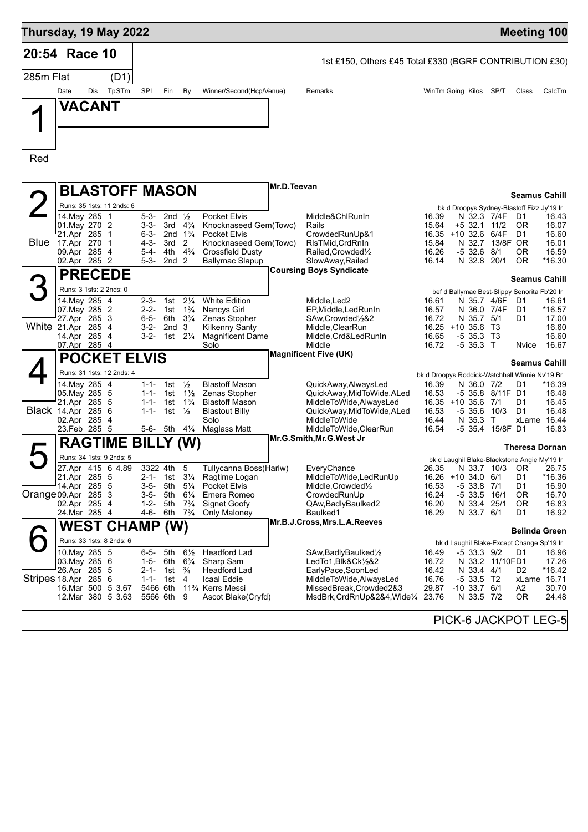

PICK-6 JACKPOT LEG-5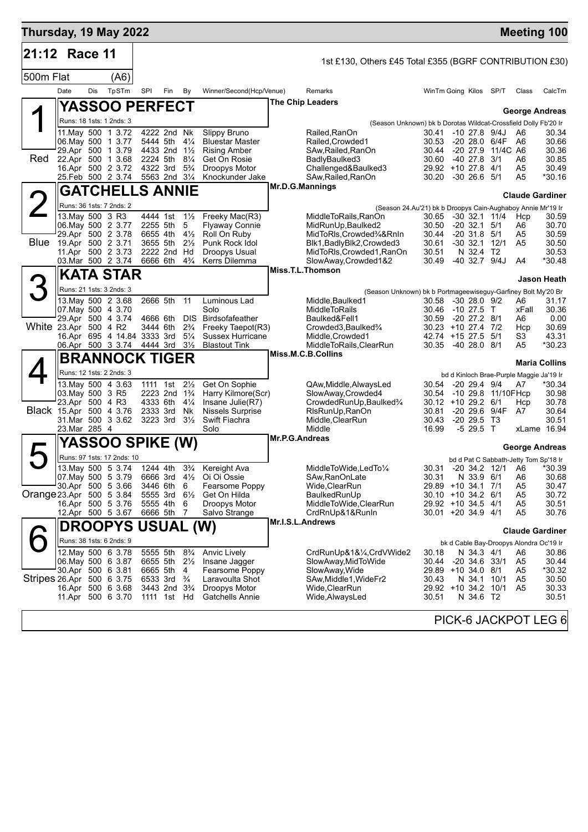| Thursday, 19 May 2022     |                   |         |                                                           |          |                                                                                |                                  |                                                 |                  |                                                                 |                                          |                            |                                |                                    |                | <b>Meeting 100</b>                                 |
|---------------------------|-------------------|---------|-----------------------------------------------------------|----------|--------------------------------------------------------------------------------|----------------------------------|-------------------------------------------------|------------------|-----------------------------------------------------------------|------------------------------------------|----------------------------|--------------------------------|------------------------------------|----------------|----------------------------------------------------|
| 21:12                     |                   | Race 11 |                                                           |          |                                                                                |                                  |                                                 |                  | 1st £130, Others £45 Total £355 (BGRF CONTRIBUTION £30)         |                                          |                            |                                |                                    |                |                                                    |
| 500m Flat                 |                   |         | (A6)                                                      |          |                                                                                |                                  |                                                 |                  |                                                                 |                                          |                            |                                |                                    |                |                                                    |
|                           | Date              | Dis     | TpSTm                                                     | SPI      | Fin                                                                            | By                               | Winner/Second(Hcp/Venue)                        |                  | Remarks                                                         | WinTm Going Kilos SP/T                   |                            |                                |                                    | Class          | CalcTm                                             |
|                           |                   |         | <b>YASSOO PERFECT</b>                                     |          |                                                                                |                                  |                                                 |                  | The Chip Leaders                                                |                                          |                            |                                |                                    |                |                                                    |
| ◢                         |                   |         | Runs: 18 1sts: 1 2nds: 3                                  |          |                                                                                |                                  |                                                 |                  | (Season Unknown) bk b Dorotas Wildcat-Crossfield Dolly Fb'20 Ir |                                          |                            |                                |                                    |                | <b>George Andreas</b>                              |
|                           |                   |         | 11. May 500 1 3.72                                        |          | 4222 2nd Nk                                                                    |                                  | Slippy Bruno                                    |                  | Railed, RanOn                                                   | 30.41                                    |                            |                                | $-10$ 27.8 $9/4J$                  | A6             | 30.34                                              |
|                           |                   |         | 06. May 500 1 3.77<br>29.Apr 500 1 3.79                   |          | 5444 5th<br>4433 2nd 11/2                                                      | $4\frac{1}{4}$                   | <b>Bluestar Master</b><br><b>Rising Amber</b>   |                  | Railed, Crowded1<br>SAw, Railed, RanOn                          | 30.53<br>30.44                           |                            |                                | -20 28.0 6/4F<br>-20 27.9 11/4C A6 | A6             | 30.66<br>30.36                                     |
| Red                       |                   |         | 22.Apr 500 1 3.68                                         | 2224 5th |                                                                                | $8\frac{1}{4}$                   | Get On Rosie                                    |                  | BadlyBaulked3                                                   | 30.60                                    |                            | -40 27.8 3/1                   |                                    | A6             | 30.85                                              |
|                           |                   |         | 16.Apr 500 2 3.72<br>25.Feb 500 2 3.74                    | 4322 3rd | 5563 2nd 31/4                                                                  | $5\frac{3}{4}$                   | Droopys Motor<br>Knockunder Jake                |                  | Challenged&Baulked3<br>SAw, Railed, RanOn                       | 29.92 +10 27.8 4/1<br>30.20              |                            | $-30$ 26.6 $5/1$               |                                    | A5<br>A5       | 30.49<br>*30.16                                    |
|                           |                   |         | <b>GATCHELLS ANNIE</b>                                    |          |                                                                                |                                  |                                                 | Mr.D.G.Mannings  |                                                                 |                                          |                            |                                |                                    |                | <b>Claude Gardiner</b>                             |
|                           |                   |         | Runs: 36 1sts: 7 2nds: 2                                  |          |                                                                                |                                  |                                                 |                  | (Season 24.Au'21) bk b Droopys Cain-Aughaboy Annie Mr'19 Ir     |                                          |                            |                                |                                    |                |                                                    |
|                           | 13. May 500 3 R3  |         |                                                           |          | 4444 1st                                                                       | $1\frac{1}{2}$                   | Freeky Mac(R3)                                  |                  | MiddleToRails,RanOn                                             | 30.65                                    |                            |                                | -30 32.1 11/4                      | Hcp            | 30.59                                              |
|                           |                   |         | 06. May 500 2 3.77<br>29.Apr 500 2 3.78                   | 2255 5th | 6655 4th                                                                       | 5<br>$4\frac{1}{2}$              | <b>Flyaway Connie</b><br>Roll On Ruby           |                  | MidRunUp, Baulked2<br>MidToRIs, Crowded34&RnIn                  | 30.50<br>30.44                           |                            | $-20.32.1$<br>$-20$ 31.8 $5/1$ | 5/1                                | A6<br>A5       | 30.70<br>30.59                                     |
| Blue                      | 19.Apr 500 2 3.71 |         |                                                           |          | 3655 5th                                                                       | $2\frac{1}{2}$                   | Punk Rock Idol                                  |                  | Blk1, Badly Blk2, Crowded 3                                     | 30.61                                    | $-30$ 32.1                 |                                | 12/1                               | A <sub>5</sub> | 30.50                                              |
|                           |                   |         | 11.Apr 500 2 3.73<br>03. Mar 500 2 3.74                   | 6666 6th | 2222 2nd Hd                                                                    | $4\frac{3}{4}$                   | Droopys Usual<br>Kerrs Dilemma                  |                  | MidToRIs, Crowded1, RanOn<br>SlowAway, Crowded 1&2              | 30.51<br>30.49                           |                            | N 32.4 T2<br>-40 32.7 9/4J     |                                    | A4             | 30.53<br>*30.48                                    |
|                           |                   |         | <b>KATA STAR</b>                                          |          |                                                                                |                                  |                                                 |                  | Miss.T.L.Thomson                                                |                                          |                            |                                |                                    |                |                                                    |
| 3                         |                   |         | Runs: 21 1sts: 3 2nds: 3                                  |          |                                                                                |                                  |                                                 |                  | (Season Unknown) bk b Portmageewiseguy-Garfiney Bolt My'20 Br   |                                          |                            |                                |                                    |                | Jason Heath                                        |
|                           |                   |         | 13. May 500 2 3.68                                        |          | 2666 5th                                                                       | 11                               | Luminous Lad                                    |                  | Middle, Baulked 1                                               | 30.58                                    | -30 28.0 9/2               |                                |                                    | A6             | 31.17                                              |
|                           | 07 May 500 4 3.70 |         | 29.Apr 500 4 3.74                                         | 4666 6th |                                                                                | DIS.                             | Solo<br>Birdsofafeather                         |                  | <b>MiddleToRails</b><br>Baulked&Fell1                           | 30.46<br>30.59                           | -10 27.5 T<br>-20 27.2 8/1 |                                |                                    | xFall<br>A6    | 30.36<br>0.00                                      |
| White 23.Apr 500 4 R2     |                   |         |                                                           |          | 3444 6th                                                                       | $2\frac{3}{4}$                   | Freeky Taepot(R3)                               |                  | Crowded3, Baulked3/4                                            | 30.23 +10 27.4 7/2                       |                            |                                |                                    | Hcp            | 30.69                                              |
|                           |                   |         | 16.Apr 695 4 14.84 3333 3rd<br>06.Apr 500 3 3.74 4444 3rd |          |                                                                                | $5\frac{1}{4}$<br>$3\frac{1}{2}$ | <b>Sussex Hurricane</b><br><b>Blastout Tink</b> |                  | Middle, Crowded1<br>MiddleToRails, ClearRun                     | 42.74 +15 27.5 5/1<br>30.35              |                            | $-4028.08/1$                   |                                    | S3<br>A5       | 43.31<br>*30.23                                    |
|                           |                   |         | <b>BRANNOCK TIGER</b>                                     |          |                                                                                |                                  |                                                 |                  | Miss.M.C.B.Collins                                              |                                          |                            |                                |                                    |                |                                                    |
|                           |                   |         | Runs: 12 1sts: 2 2nds: 3                                  |          |                                                                                |                                  |                                                 |                  |                                                                 |                                          |                            |                                |                                    |                | <b>Maria Collins</b>                               |
|                           |                   |         | 13. May 500 4 3.63                                        |          | 1111 1st                                                                       | $2\frac{1}{2}$                   | Get On Sophie                                   |                  | QAw, Middle, Always Led                                         | 30.54                                    |                            | $-20$ 29.4 $9/4$               |                                    | A7             | bd d Kinloch Brae-Purple Maggie Ja'19 Ir<br>*30.34 |
|                           | 03. May 500 3 R5  |         |                                                           |          | 2223 2nd 1 <sup>3</sup> / <sub>4</sub>                                         |                                  | Harry Kilmore(Scr)                              |                  | SlowAway, Crowded4                                              | 30.54                                    |                            |                                | -10 29.8 11/10FHcp                 |                | 30.98                                              |
| Black 15.Apr 500 4 3.76   | 23.Apr 500 4 R3   |         |                                                           | 4333 6th | 2333 3rd                                                                       | $4\frac{1}{4}$<br>Nk             | Insane Julie(R7)<br>Nissels Surprise            |                  | CrowdedRunUp, Baulked%<br>RIsRunUp, RanOn                       | $30.12 + 1029.261$<br>30.81              |                            |                                | -20 29.6 9/4F                      | Hcp<br>A7      | 30.78<br>30.64                                     |
|                           |                   |         | 31. Mar 500 3 3.62                                        |          | $3223$ 3rd $3\frac{1}{2}$                                                      |                                  | Swift Fiachra                                   |                  | Middle, ClearRun                                                | 30.43                                    |                            | $-20, 29.5, 13$                |                                    |                | 30.51                                              |
|                           | 23. Mar 285 4     |         |                                                           |          |                                                                                |                                  | Solo                                            | Mr.P.G.Andreas   | Middle                                                          | 16.99                                    |                            | $-529.5$ T                     |                                    |                | xLame 16.94                                        |
|                           |                   |         | <b>YASSOO SPIKE (W)</b>                                   |          |                                                                                |                                  |                                                 |                  |                                                                 |                                          |                            |                                |                                    |                | <b>George Andreas</b>                              |
|                           |                   |         | Runs: 97 1sts: 17 2nds: 10<br>13. May 500 5 3.74          |          | 1244 4th                                                                       |                                  | 3 <sup>3</sup> / <sub>4</sub> Kereight Ava      |                  | MiddleToWide,LedTo1/4                                           |                                          |                            |                                | 30.31 -20 34.2 12/1 A6             |                | bd d Pat C Sabbath-Jetty Tom Sp'18 Ir<br>*30.39    |
|                           |                   |         | 07. May 500 5 3.79                                        |          |                                                                                |                                  | 6666 3rd 41/2 Oi Oi Ossie                       |                  | SAw, RanOnLate                                                  | 30.31                                    |                            | N 33.9 6/1                     |                                    | A6             | 30.68                                              |
| Orange 23.Apr 500 5 3.84  |                   |         | 30.Apr 500 5 3.66                                         | 5555 3rd | 3446 6th                                                                       | 6<br>$6\frac{1}{2}$              | Fearsome Poppy<br>Get On Hilda                  |                  | Wide,ClearRun<br>BaulkedRunUp                                   | 29.89 +10 34.1 7/1<br>30.10 +10 34.2 6/1 |                            |                                |                                    | A5<br>A5       | 30.47<br>30.72                                     |
|                           |                   |         | 16.Apr 500 5 3.76                                         |          | 5555 4th                                                                       | 6                                | Droopys Motor                                   |                  | MiddleToWide,ClearRun                                           | 29.92 +10 34.5 4/1                       |                            |                                |                                    | A5             | 30.51                                              |
|                           |                   |         | 12.Apr 500 5 3.67                                         | 6666 5th |                                                                                | -7                               | Salvo Strange                                   | Mr.I.S.L.Andrews | CrdRnUp&1&RunIn                                                 | 30.01 +20 34.9 4/1                       |                            |                                |                                    | A5             | 30.76                                              |
|                           |                   |         | <b>DROOPYS USUAL (W)</b>                                  |          |                                                                                |                                  |                                                 |                  |                                                                 |                                          |                            |                                |                                    |                | <b>Claude Gardiner</b>                             |
|                           |                   |         | Runs: 38 1sts: 6 2nds: 9                                  |          |                                                                                |                                  |                                                 |                  |                                                                 |                                          |                            |                                |                                    |                | bk d Cable Bay-Droopys Alondra Oc'19 Ir            |
|                           |                   |         | 12. May 500 6 3.78<br>06. May 500 6 3.87                  |          | 5555 5th 8 <sup>3</sup> / <sub>4</sub><br>6655 5th 2½                          |                                  | Anvic Lively<br>Insane Jagger                   |                  | CrdRunUp&1&1⁄4,CrdVWide2<br>SlowAway, MidToWide                 | 30.18<br>30.44                           |                            | N 34.3 4/1<br>-20 34.6 33/1    |                                    | A6<br>A5       | 30.86<br>30.44                                     |
|                           |                   |         | 30.Apr 500 6 3.81                                         |          | 6665 5th                                                                       | 4                                | Fearsome Poppy                                  |                  | SlowAway, Wide                                                  | 29.89 +10 34.0 8/1                       |                            |                                |                                    | A5             | *30.32                                             |
| Stripes 26.Apr 500 6 3.75 |                   |         | 16.Apr 500 6 3.68                                         |          | 6533 3rd <sup>3</sup> / <sub>4</sub><br>3443 2nd 3 <sup>3</sup> / <sub>4</sub> |                                  | Laravoulta Shot<br>Droopys Motor                |                  | SAw, Middle 1, Wide Fr2<br>Wide, ClearRun                       | 30.43<br>29.92 +10 34.2 10/1             |                            |                                | N 34.1 10/1                        | A5<br>A5       | 30.50<br>30.33                                     |
|                           |                   |         | 11.Apr 500 6 3.70                                         |          | 1111 1st Hd                                                                    |                                  | <b>Gatchells Annie</b>                          |                  | Wide, Always Led                                                | 30.51                                    |                            | N 34.6 T2                      |                                    |                | 30.51                                              |
|                           |                   |         |                                                           |          |                                                                                |                                  |                                                 |                  |                                                                 |                                          |                            |                                |                                    |                |                                                    |
|                           |                   |         |                                                           |          |                                                                                |                                  |                                                 |                  |                                                                 |                                          |                            |                                |                                    |                | PICK-6 JACKPOT LEG 6                               |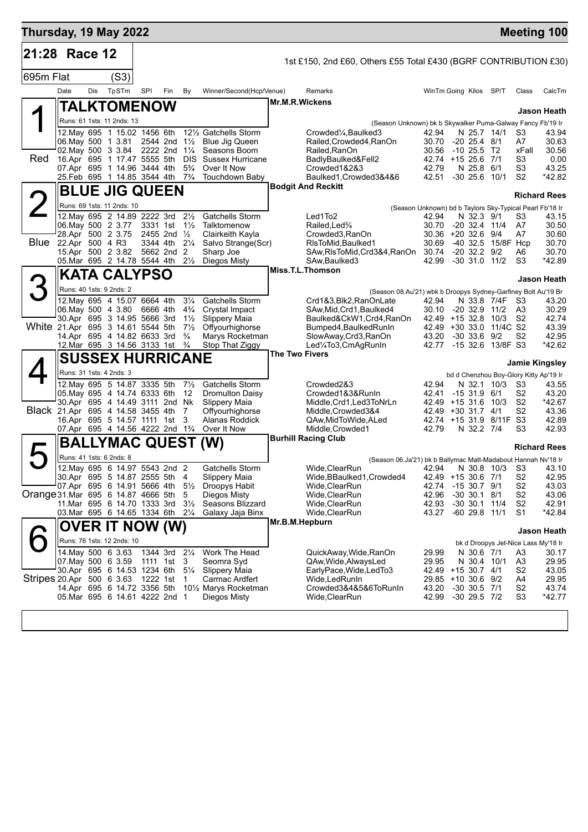| Thursday, 19 May 2022               |                                                   |     |                                                               |     |                           |                                  |                                                |                       |                                                                                                                          |                                           |                                      |                      |                                  | <b>Meeting 100</b>                              |
|-------------------------------------|---------------------------------------------------|-----|---------------------------------------------------------------|-----|---------------------------|----------------------------------|------------------------------------------------|-----------------------|--------------------------------------------------------------------------------------------------------------------------|-------------------------------------------|--------------------------------------|----------------------|----------------------------------|-------------------------------------------------|
| 21:28 Race 12                       |                                                   |     |                                                               |     |                           |                                  |                                                |                       | 1st £150, 2nd £60, Others £55 Total £430 (BGRF CONTRIBUTION £30)                                                         |                                           |                                      |                      |                                  |                                                 |
| 695m Flat                           |                                                   |     | (S3)                                                          |     |                           |                                  |                                                |                       |                                                                                                                          |                                           |                                      |                      |                                  |                                                 |
|                                     | Date                                              | Dis | TpSTm                                                         | SPI | Fin                       | By                               | Winner/Second(Hcp/Venue)                       |                       | Remarks                                                                                                                  | WinTm Going Kilos SP/T                    |                                      |                      | Class                            | CalcTm                                          |
|                                     |                                                   |     | TALKTOMENOW                                                   |     |                           |                                  |                                                | <b>Mr.M.R.Wickens</b> |                                                                                                                          |                                           |                                      |                      |                                  |                                                 |
|                                     |                                                   |     | Runs: 61 1sts: 11 2nds: 13                                    |     |                           |                                  |                                                |                       |                                                                                                                          |                                           |                                      |                      |                                  | Jason Heath                                     |
|                                     |                                                   |     | 12. May 695 1 15.02 1456 6th                                  |     |                           |                                  | 12½ Gatchells Storm                            |                       | (Season Unknown) bk b Skywalker Puma-Galway Fancy Fb'19 Ir<br>Crowded <sup>1</sup> / <sub>4</sub> , Baulked <sup>3</sup> | 42.94                                     | N 25.7 14/1                          |                      | S3                               | 43.94                                           |
|                                     | 06. May 500 1 3.81 2544 2nd 11/2                  |     |                                                               |     |                           |                                  | <b>Blue Jig Queen</b>                          |                       | Railed, Crowded4, RanOn                                                                                                  | 30.70                                     | $-20$ 25.4 $8/1$                     |                      | A7                               | 30.63                                           |
| Red                                 | 16.Apr 695 1 17.47 5555 5th                       |     | 02. May 500 3 3.84                                            |     | 2222 2nd 11/4             | <b>DIS</b>                       | Seasons Boom<br><b>Sussex Hurricane</b>        |                       | Railed, RanOn<br>BadlyBaulked&Fell2                                                                                      | 30.56<br>42.74 +15 25.6 7/1               | $-10$ 25.5 T2                        |                      | xFall<br>S3                      | 30.56<br>0.00                                   |
|                                     |                                                   |     | 07 Apr 695 1 14.96 3444 4th                                   |     |                           | $5\frac{3}{4}$                   | Over It Now                                    |                       | Crowded1&2&3                                                                                                             | 42.79                                     | N 25.8 6/1                           |                      | S3                               | 43.25                                           |
|                                     | 25.Feb 695 1 14.85 3544 4th                       |     |                                                               |     |                           | $7\frac{3}{4}$                   | Touchdown Baby                                 |                       | Baulked1, Crowded 3&4&6<br><b>Bodgit And Reckitt</b>                                                                     | 42.51                                     | $-30$ 25.6 10/1                      |                      | S <sub>2</sub>                   | *42.82                                          |
|                                     |                                                   |     | <b>BLUE JIG QUEEN</b>                                         |     |                           |                                  |                                                |                       |                                                                                                                          |                                           |                                      |                      |                                  | <b>Richard Rees</b>                             |
|                                     |                                                   |     | Runs: 69 1sts: 11 2nds: 10                                    |     |                           |                                  |                                                |                       | (Season Unknown) bd b Taylors Sky-Typical Pearl Fb'18 Ir                                                                 |                                           |                                      |                      |                                  |                                                 |
|                                     | 06. May 500 2 3.77 3331 1st 11/2                  |     | 12. May 695 2 14.89 2222 3rd                                  |     |                           | $2\frac{1}{2}$                   | Gatchells Storm<br>Talktomenow                 |                       | Led1To2<br>Railed, Led%                                                                                                  | 42.94<br>30.70                            | N 32.3 9/1<br>-20 32.4 11/4          |                      | S3<br>A7                         | 43.15<br>30.50                                  |
|                                     | 28.Apr 500 2 3.75                                 |     |                                                               |     | 2455 2nd 1/2              |                                  | Clairkeith Kayla                               |                       | Crowded3, RanOn                                                                                                          | 30.36 +20 32.6 9/4                        |                                      |                      | A7                               | 30.60                                           |
|                                     | Blue 22.Apr 500 4 R3                              |     | 15.Apr 500 2 3.82                                             |     | 3344 4th 21/4<br>5662 2nd | 2                                | Salvo Strange(Scr)<br>Sharp Joe                |                       | RIsToMid, Baulked1<br>SAw, RIsToMid, Crd3&4, RanOn                                                                       | 30.69<br>30.74                            | $-20$ 32.2 $9/2$                     | -40 32.5 15/8F Hcp   | A6                               | 30.70<br>30.70                                  |
|                                     | 05.Mar 695 2 14.78 5544 4th                       |     |                                                               |     |                           | $2\frac{1}{2}$                   | Diegos Misty                                   |                       | SAw, Baulked 3                                                                                                           | 42.99                                     | $-30$ 31.0 11/2                      |                      | S <sub>3</sub>                   | *42.89                                          |
|                                     |                                                   |     | <b>KATA CALYPSO</b>                                           |     |                           |                                  |                                                |                       | Miss.T.L.Thomson                                                                                                         |                                           |                                      |                      |                                  | Jason Heath                                     |
| 3                                   |                                                   |     | Runs: 40 1sts: 9 2nds: 2                                      |     |                           |                                  |                                                |                       | (Season 08.Au'21) wbk b Droopys Sydney-Garfiney Bolt Au'19 Br                                                            |                                           |                                      |                      |                                  |                                                 |
|                                     |                                                   |     | 12. May 695 4 15.07 6664 4th                                  |     |                           | $3\frac{1}{4}$                   | Gatchells Storm                                |                       | Crd1&3,Blk2,RanOnLate                                                                                                    | 42.94                                     |                                      | N 33.8 7/4F          | S3                               | 43.20                                           |
|                                     | 06. May 500 4 3.80<br>30.Apr 695 3 14.95 5666 3rd |     |                                                               |     | 6666 4th                  | $4\frac{3}{4}$<br>$1\frac{1}{2}$ | Crystal Impact<br>Slippery Maia                |                       | SAw, Mid, Crd1, Baulked4<br>Baulked&CkW1,Crd4,RanOn                                                                      | 30.10<br>42.49 +15 32.8 10/3              | $-20$ 32.9 11/2                      |                      | A3<br>S <sub>2</sub>             | 30.29<br>42.74                                  |
| White 21.Apr 695 3 14.61 5544 5th   |                                                   |     |                                                               |     |                           | $7\frac{1}{2}$                   | Offyourhighorse                                |                       | Bumped4, Baulked RunIn                                                                                                   | 42.49 +30 33.0 11/4C S2                   |                                      |                      |                                  | 43.39                                           |
|                                     |                                                   |     | 14.Apr 695 4 14.82 6633 3rd<br>12.Mar 695 3 14.56 3133 1st    |     |                           | $\frac{3}{4}$<br>$\frac{3}{4}$   | Marys Rocketman<br>Stop That Ziggy             |                       | SlowAway,Crd3,RanOn<br>Led¼To3,CmAgRunIn                                                                                 | 43.20<br>42.77                            | $-30$ 33.6 $9/2$                     | -15 32.6 13/8F S3    | S <sub>2</sub>                   | 42.95<br>*42.62                                 |
|                                     |                                                   |     | <b>SUSSEX HURRICANE</b>                                       |     |                           |                                  |                                                | The Two Fivers        |                                                                                                                          |                                           |                                      |                      |                                  |                                                 |
|                                     |                                                   |     | Runs: 31 1sts: 4 2nds: 3                                      |     |                           |                                  |                                                |                       |                                                                                                                          |                                           |                                      |                      |                                  | <b>Jamie Kingsley</b>                           |
|                                     |                                                   |     | 12. May 695 5 14.87 3335 5th                                  |     |                           | $7\frac{1}{2}$                   | Gatchells Storm                                |                       | Crowded2&3                                                                                                               | 42.94                                     |                                      | N 32.1 10/3          | S3                               | bd d Chenzhou Boy-Glory Kitty Ap'19 Ir<br>43.55 |
|                                     | 05. May 695 4 14.74 6333 6th                      |     |                                                               |     |                           | 12                               | <b>Dromulton Daisy</b>                         |                       | Crowded1&3&RunIn                                                                                                         | 42.41                                     | $-1531.96/1$                         |                      | S <sub>2</sub>                   | 43.20                                           |
| Black 21.Apr 695 4 14.58 3455 4th   | 30.Apr 695 4 14.49 3111 2nd Nk                    |     |                                                               |     |                           | 7                                | Slippery Maia<br>Offyourhighorse               |                       | Middle, Crd1, Led3ToNrLn<br>Middle, Crowded 3&4                                                                          | 42.49 +15 31.6 10/3<br>42.49 +30 31.7 4/1 |                                      |                      | S <sub>2</sub><br>S <sub>2</sub> | *42.67<br>43.36                                 |
|                                     |                                                   |     | 16.Apr 695 5 14.57 1111 1st                                   |     |                           | 3                                | Alanas Roddick                                 |                       | QAw,MidToWide,ALed                                                                                                       | 42.74 +15 31.9 8/11F S3                   |                                      |                      |                                  | 42.89                                           |
|                                     | 07.Apr 695 4 14.56 4222 2nd 13/4                  |     |                                                               |     |                           |                                  | Over It Now                                    |                       | Middle, Crowded1<br><b>Burhill Racing Club</b>                                                                           | 42.79                                     | N 32.2 7/4                           |                      | S3                               | 42.93                                           |
| $\blacktriangleright$               |                                                   |     | <b>BALLYMAC QUEST</b>                                         |     |                           |                                  | (W)                                            |                       |                                                                                                                          |                                           |                                      |                      |                                  | <b>Richard Rees</b>                             |
|                                     |                                                   |     | Runs: 41 1sts: 6 2nds: 8                                      |     |                           |                                  |                                                |                       | (Season 06.Ja'21) bk b Ballymac Matt-Madabout Hannah Nv'18 Ir                                                            |                                           |                                      |                      |                                  |                                                 |
|                                     |                                                   |     | 12. May 695 6 14.97 5543 2nd 2<br>30.Apr 695 5 14.87 2555 5th |     |                           | $\overline{4}$                   | Gatchells Storm<br>Slippery Maia               |                       | Wide, ClearRun<br>Wide, BBaulked1, Crowded4                                                                              | 42.49 +15 30.6 7/1                        |                                      | 42.94 N 30.8 10/3 S3 | S <sub>2</sub>                   | 43.10<br>42.95                                  |
|                                     | 07.Apr 695 6 14.91 5666 4th                       |     |                                                               |     |                           | $5\frac{1}{2}$                   | Droopys Habit                                  |                       | Wide, ClearRun                                                                                                           | 42.74                                     | $-15$ 30.7 $9/1$                     |                      | S <sub>2</sub>                   | 43.03                                           |
| Orange 31. Mar 695 6 14.87 4666 5th | 11.Mar 695 6 14.70 1333 3rd                       |     |                                                               |     |                           | 5<br>$3\frac{1}{2}$              | Diegos Misty<br>Seasons Blizzard               |                       | Wide, Clear Run<br>Wide, Clear Run                                                                                       | 42.96<br>42.93                            | $-30$ 30.1 $8/1$<br>$-30$ 30.1 11/4  |                      | S <sub>2</sub><br>S <sub>2</sub> | 43.06<br>42.91                                  |
|                                     | 03. Mar 695 6 14.65 1334 6th                      |     |                                                               |     |                           | $2\frac{1}{4}$                   | Galaxy Jaja Binx                               |                       | Wide, Clear Run                                                                                                          | 43.27                                     | $-60$ 29.8 11/1                      |                      | S1                               | *42.84                                          |
|                                     |                                                   |     | <b>OVER IT NOW (W)</b>                                        |     |                           |                                  |                                                |                       | Mr.B.M.Hepburn                                                                                                           |                                           |                                      |                      |                                  | Jason Heath                                     |
|                                     |                                                   |     | Runs: 76 1sts: 12 2nds: 10                                    |     |                           |                                  |                                                |                       |                                                                                                                          |                                           |                                      |                      |                                  | bk d Droopys Jet-Nice Lass My'18 Ir             |
|                                     |                                                   |     | 14 May 500 6 3.63                                             |     | 1344 3rd                  | $2\frac{1}{4}$                   | Work The Head                                  |                       | QuickAway, Wide, RanOn                                                                                                   | 29.99                                     | N 30.6 7/1                           |                      | A3                               | 30.17                                           |
|                                     | 07. May 500 6 3.59<br>30.Apr 695 6 14.53 1234 6th |     |                                                               |     | 1111 1st                  | 3<br>$5\frac{1}{4}$              | Seomra Syd                                     |                       | QAw, Wide, Always Led<br>EarlyPace, Wide, LedTo3                                                                         | 29.95<br>42.49 +15 30.7 4/1               | N 30.4 10/1                          |                      | A3<br>S <sub>2</sub>             | 29.95<br>43.05                                  |
| Stripes 20.Apr 500 6 3.63           |                                                   |     |                                                               |     | 1222 1st                  | -1                               | Slippery Maia<br>Carmac Ardfert                |                       | Wide,LedRunIn                                                                                                            | 29.85                                     | $+10$ 30.6 9/2                       |                      | A4                               | 29.95                                           |
|                                     | 14.Apr 695 6 14.72 3356 5th                       |     |                                                               |     |                           |                                  | 10 <sup>1</sup> / <sub>2</sub> Marys Rocketman |                       | Crowded3&4&5&6ToRunIn                                                                                                    | 43.20                                     | $-30$ 30.5 $7/1$<br>$-30$ 29.5 $7/2$ |                      | S <sub>2</sub>                   | 43.74                                           |
|                                     | 05. Mar 695 6 14.61 4222 2nd 1                    |     |                                                               |     |                           |                                  | Diegos Misty                                   |                       | Wide,ClearRun                                                                                                            | 42.99                                     |                                      |                      | S <sub>3</sub>                   | $*42.77$                                        |
|                                     |                                                   |     |                                                               |     |                           |                                  |                                                |                       |                                                                                                                          |                                           |                                      |                      |                                  |                                                 |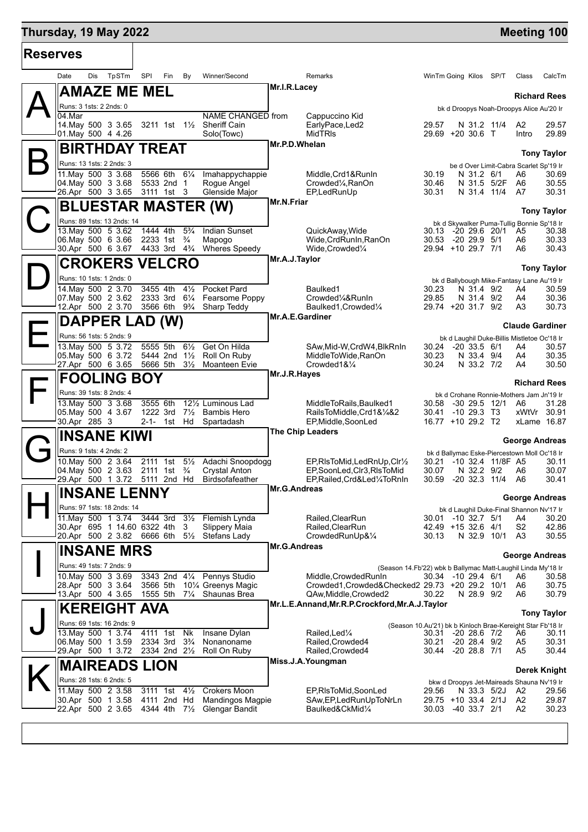## **Thursday, 19 May 2022 Manual Control of Control of Control of Control of Control of Control of Control of Control of Control of Control of Control of Control of Control of Control of Control of Control of Control of Con**

| <b>Reserves</b>                                          |     |                            |                      |             |                                  |                                                         |                     |                                                                                       |                |                                                                   |             |                        |                            |
|----------------------------------------------------------|-----|----------------------------|----------------------|-------------|----------------------------------|---------------------------------------------------------|---------------------|---------------------------------------------------------------------------------------|----------------|-------------------------------------------------------------------|-------------|------------------------|----------------------------|
| Date                                                     | Dis | TpSTm                      | SPI                  | Fin         | By                               | Winner/Second                                           |                     | Remarks                                                                               |                | WinTm Going Kilos SP/T                                            |             | Class                  | CalcTm                     |
|                                                          |     | <b>AMAZE ME MEL</b>        |                      |             |                                  |                                                         | Mr.I.R.Lacey        |                                                                                       |                |                                                                   |             | <b>Richard Rees</b>    |                            |
| Runs: 3 1sts: 2 2nds: 0<br>04.Mar                        |     |                            |                      |             |                                  |                                                         |                     |                                                                                       |                | bk d Droopys Noah-Droopys Alice Au'20 Ir                          |             |                        |                            |
| 14 May 500 3 3.65                                        |     |                            |                      |             |                                  | NAME CHANGED from<br>3211 1st 11/2 Sheriff Cain         |                     | Cappuccino Kid<br>EarlyPace, Led2                                                     | 29.57          |                                                                   | N 31.2 11/4 | A2                     | 29.57                      |
| 01. May 500 4 4.26                                       |     |                            |                      |             |                                  | Solo(Towc)                                              |                     | <b>MidTRIS</b>                                                                        |                | 29.69 +20 30.6 T                                                  |             | Intro                  | 29.89                      |
|                                                          |     | <b>BIRTHDAY TREAT</b>      |                      |             |                                  |                                                         | Mr.P.D.Whelan       |                                                                                       |                |                                                                   |             |                        | <b>Tony Taylor</b>         |
| Runs: 13 1sts: 2 2nds: 3                                 |     |                            |                      |             |                                  |                                                         |                     |                                                                                       |                | be d Over Limit-Cabra Scarlet Sp'19 Ir                            |             |                        |                            |
| 11. May 500 3 3.68<br>04. May 500 3 3.68                 |     |                            |                      | 5533 2nd 1  |                                  | 5566 6th 61/4 Imahappychappie<br>Roque Angel            |                     | Middle, Crd1&RunIn<br>Crowded <sup>1</sup> / <sub>4</sub> , RanOn                     | 30.19<br>30.46 | N 31.2 6/1                                                        | N 31.5 5/2F | A6<br>A6               | 30.69<br>30.55             |
| 26.Apr 500 3 3.65 3111 1st 3                             |     |                            |                      |             |                                  | Glenside Major                                          |                     | EP,LedRunUp                                                                           | 30.31          |                                                                   | N 31.4 11/4 | A7                     | 30.31                      |
|                                                          |     |                            |                      |             |                                  | <b>BLUESTAR MASTER (W)</b>                              | Mr.N.Friar          |                                                                                       |                |                                                                   |             |                        | <b>Tony Taylor</b>         |
|                                                          |     | Runs: 89 1sts: 13 2nds: 14 |                      |             |                                  |                                                         |                     |                                                                                       |                | bk d Skywalker Puma-Tullig Bonnie Sp'18 Ir                        |             |                        |                            |
| 13. May 500 5 3.62<br>06. May 500 6 3.66                 |     |                            | 1444 4th             | 2233 1st    | $5\frac{3}{4}$<br>$\frac{3}{4}$  | <b>Indian Sunset</b><br>Mapogo                          |                     | QuickAway, Wide<br>Wide, Crd RunIn, RanOn                                             | 30.53          | 30.13 -20 29.6 20/1<br>-20 29.9 5/1                               |             | A5<br>A6               | 30.38<br>30.33             |
| 30.Apr 500 6 3.67                                        |     |                            | 4433 3rd             |             | $4\frac{3}{4}$                   | <b>Wheres Speedy</b>                                    |                     | Wide, Crowded <sup>1</sup> / <sub>4</sub>                                             |                | 29.94 +10 29.7 7/1                                                |             | A6                     | 30.43                      |
|                                                          |     | <b>CROKERS VELCRO</b>      |                      |             |                                  |                                                         | Mr.A.J.Taylor       |                                                                                       |                |                                                                   |             |                        | <b>Tony Taylor</b>         |
| Runs: 10 1sts: 1 2nds: 0                                 |     |                            |                      |             |                                  |                                                         |                     |                                                                                       |                | bk d Ballybough Mike-Fantasy Lane Au'19 Ir                        |             |                        |                            |
| 14. May 500 2 3.70<br>07. May 500 2 3.62                 |     |                            | 3455 4th             |             | $4\frac{1}{2}$                   | Pocket Pard                                             |                     | Baulked1                                                                              | 30.23<br>29.85 | N 31.4 9/2                                                        |             | A4<br>A4               | 30.59<br>30.36             |
| 12.Apr 500 2 3.70 3566 6th 9 <sup>3</sup> / <sub>4</sub> |     |                            | 2333 3rd             |             | $6\frac{1}{4}$                   | Fearsome Poppy<br>Sharp Teddy                           |                     | Crowded1/4&RunIn<br>Baulked1.Crowded1/4                                               |                | N 31.4 9/2<br>29.74 +20 31.7 9/2                                  |             | A3                     | 30.73                      |
|                                                          |     | DAPPER LAD (W)             |                      |             |                                  |                                                         | Mr.A.E.Gardiner     |                                                                                       |                |                                                                   |             |                        |                            |
| Runs: 56 1sts: 5 2nds: 9                                 |     |                            |                      |             |                                  |                                                         |                     |                                                                                       |                | bk d Laughil Duke-Billis Mistletoe Oc'18 Ir                       |             | <b>Claude Gardiner</b> |                            |
| 13. May 500 5 3.72                                       |     |                            | 5555 5th             |             | $6\frac{1}{2}$                   | Get On Hilda                                            |                     | SAw, Mid-W, CrdW4, BlkRnIn                                                            | 30.24          | $-20, 33.5, 6/1$                                                  |             | A4                     | 30.57                      |
| 05. May 500 6 3.72<br>27.Apr 500 6 3.65                  |     |                            | 5666 5th             | 5444 2nd    | $1\frac{1}{2}$<br>$3\frac{1}{2}$ | Roll On Ruby<br>Moanteen Evie                           |                     | MiddleToWide, RanOn<br>Crowded1&1/4                                                   | 30.23<br>30.24 | N 33.4 9/4<br>N 33.2 7/2                                          |             | A4<br>A4               | 30.35<br>30.50             |
| <b>FOOLING BOY</b>                                       |     |                            |                      |             |                                  |                                                         | Mr.J.R.Hayes        |                                                                                       |                |                                                                   |             |                        |                            |
| Runs: 39 1sts: 8 2nds: 4                                 |     |                            |                      |             |                                  |                                                         |                     |                                                                                       |                |                                                                   |             |                        | <b>Richard Rees</b>        |
| 13. May 500 3 3.68                                       |     |                            | 3555 6th             |             |                                  | 121/ <sub>2</sub> Luminous Lad                          |                     | MiddleToRails, Baulked1                                                               | 30.58          | bk d Crohane Ronnie-Mothers Jam Jn'19 Ir<br>-30 29.5 12/1         |             | A6                     | 31.28                      |
| 05. May 500 4 3.67<br>30.Apr 285 3                       |     |                            | 1222 3rd<br>2-1- 1st |             | Hd                               | 7 <sup>1</sup> / <sub>2</sub> Bambis Hero<br>Spartadash |                     | RailsToMiddle, Crd1&1/4&2<br>EP, Middle, SoonLed                                      | 30.41          | $-10$ 29.3 T3<br>16.77 +10 29.2 T2                                |             |                        | xWtVr 30.91<br>xLame 16.87 |
|                                                          |     | <b>INSANE KIWI</b>         |                      |             |                                  |                                                         |                     | The Chip Leaders                                                                      |                |                                                                   |             |                        |                            |
| Runs: 9 1sts: 4 2nds: 2                                  |     |                            |                      |             |                                  |                                                         |                     |                                                                                       |                |                                                                   |             | <b>George Andreas</b>  |                            |
| 10. May 500 2 3.64                                       |     |                            | 2111 1st             |             | $5\frac{1}{2}$                   | Adachi Snoopdogg                                        |                     | EP, RIsToMid, Led RnUp, Clr1/2                                                        | 30.21          | bk d Ballymac Eske-Piercestown Moll Oc'18 Ir<br>-10 32.4 11/8F A5 |             |                        | 30.11                      |
| 04. May 500 2 3.63<br>29.Apr 500 1 3.72                  |     |                            | 5111 2nd Hd          | 2111 1st    | $\frac{3}{4}$                    | <b>Crystal Anton</b><br><b>Birdsofafeather</b>          |                     | EP,SoonLed,Clr3,RIsToMid<br>EP, Railed, Crd&Led1/4ToRnIn                              | 30.07<br>30.59 | N 32.2 9/2<br>$-20$ 32.3 11/4                                     |             | A6<br>A6               | 30.07<br>30.41             |
| <b>INSANE LENNY</b>                                      |     |                            |                      |             |                                  |                                                         | Mr.G.Andreas        |                                                                                       |                |                                                                   |             |                        |                            |
|                                                          |     |                            |                      |             |                                  |                                                         |                     |                                                                                       |                |                                                                   |             | <b>George Andreas</b>  |                            |
| Runs: 97 1sts: 18 2nds: 14<br>11. May 500 1 3.74         |     |                            | 3444 3rd             |             |                                  | $3\frac{1}{2}$ Flemish Lynda                            |                     | Railed.ClearRun                                                                       |                | bk d Laughil Duke-Final Shannon Nv'17 Ir<br>30.01 -10 32.7 5/1    |             | A4                     | 30.20                      |
| 30.Apr 695 1 14.60 6322 4th                              |     |                            |                      |             | 3                                | Slippery Maia                                           |                     | Railed, ClearRun                                                                      |                | 42.49 +15 32.6 4/1                                                |             | S <sub>2</sub>         | 42.86                      |
|                                                          |     |                            |                      |             |                                  | 20.Apr 500 2 3.82 6666 6th 51/2 Stefans Lady            | <b>Mr.G.Andreas</b> | CrowdedRunUp&1/4                                                                      | 30.13          |                                                                   | N 32.9 10/1 | A3                     | 30.55                      |
| <b>INSANE MRS</b>                                        |     |                            |                      |             |                                  |                                                         |                     |                                                                                       |                |                                                                   |             | <b>George Andreas</b>  |                            |
| Runs: 49 1sts: 7 2nds: 9<br>10. May 500 3 3.69           |     |                            |                      | 3343 2nd    |                                  | 41/4 Pennys Studio                                      |                     | (Season 14.Fb'22) wbk b Ballymac Matt-Laughil Linda My'18 Ir<br>Middle, Crowded RunIn |                | 30.34 -10 29.4 6/1                                                |             | A6                     | 30.58                      |
| 28.Apr 500 3 3.64                                        |     |                            | 3566 5th             |             |                                  | 10 <sup>1</sup> / <sub>4</sub> Greenys Magic            |                     | Crowded1, Crowded& Checked 2 29.73 + 20 29.2 10/1                                     |                |                                                                   |             | A6                     | 30.75                      |
| 13.Apr 500 4 3.65                                        |     |                            | 1555 5th             |             |                                  | 7 <sup>1</sup> / <sub>4</sub> Shaunas Brea              |                     | QAw, Middle, Crowded2<br>Mr.L.E.Annand, Mr.R.P.Crockford, Mr.A.J.Taylor               | 30.22          | N 28.9 9/2                                                        |             | A6                     | 30.79                      |
| <b>KEREIGHT AVA</b>                                      |     |                            |                      |             |                                  |                                                         |                     |                                                                                       |                |                                                                   |             |                        | <b>Tony Taylor</b>         |
| Runs: 69 1sts: 16 2nds: 9                                |     | 13. May 500 1 3.74         |                      |             |                                  |                                                         |                     |                                                                                       |                | (Season 10.Au'21) bk b Kinloch Brae-Kereight Star Fb'18 Ir        |             |                        | 30.11                      |
|                                                          |     |                            | 4111 1st<br>2334 3rd |             | Nk<br>$3\frac{3}{4}$             | Insane Dylan<br>Nonanoname                              |                     | Railed, Led <sup>1/4</sup><br>Railed, Crowded4                                        | 30.21          | 30.31 -20 28.6 7/2<br>$-20$ 28.4 $9/2$                            |             | A6<br>A5               | 30.31                      |
| 06. May 500 1 3.59                                       |     |                            |                      |             |                                  | 29.Apr 500 1 3.72 2334 2nd 21/2 Roll On Ruby            |                     | Railed, Crowded4                                                                      |                | 30.44 -20 28.8 7/1                                                |             | A5                     | 30.44                      |
|                                                          |     |                            |                      |             |                                  |                                                         |                     | Miss.J.A. Youngman                                                                    |                |                                                                   |             |                        | Derek Knight               |
| <b>MAIREADS LION</b>                                     |     |                            |                      |             |                                  |                                                         |                     |                                                                                       |                |                                                                   |             |                        |                            |
| Runs: 28 1sts: 6 2nds: 5                                 |     |                            |                      |             |                                  |                                                         |                     |                                                                                       |                | bkw d Droopys Jet-Maireads Shauna Nv'19 Ir                        |             |                        |                            |
| 11. May 500 2 3.58<br>30.Apr 500 1 3.58                  |     |                            | 3111 1st             | 4111 2nd Hd | $4\frac{1}{2}$                   | <b>Crokers Moon</b><br><b>Mandingos Magpie</b>          |                     | EP, RIsToMid, SoonLed<br>SAw, EP, Led Run Up To NrLn                                  | 29.56          | 29.75 +10 33.4 2/1J                                               | N 33.3 5/2J | A2<br>A2               | 29.56<br>29.87             |